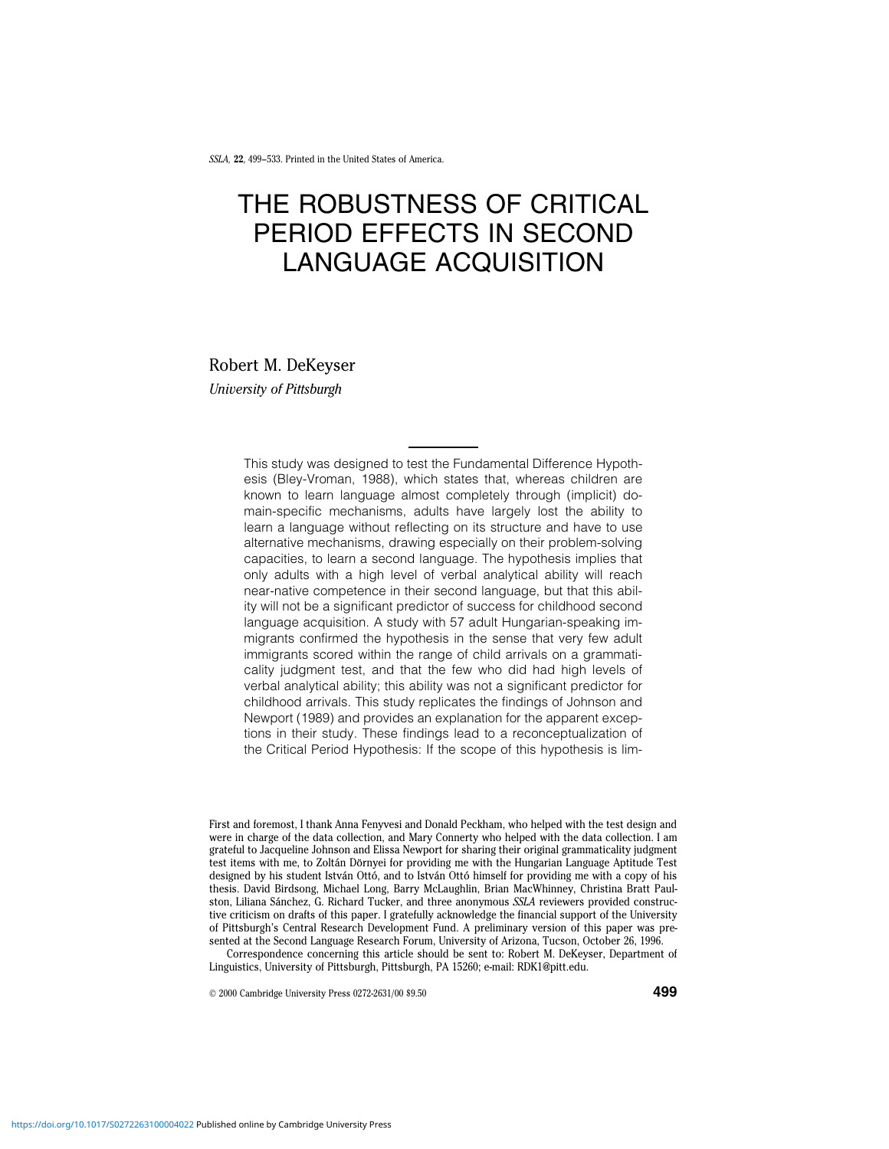# THE ROBUSTNESS OF CRITICAL PERIOD EFFECTS IN SECOND LANGUAGE ACQUISITION

Robert M. DeKeyser

*University of Pittsburgh*

This study was designed to test the Fundamental Difference Hypothesis (Bley-Vroman, 1988), which states that, whereas children are known to learn language almost completely through (implicit) domain-specific mechanisms, adults have largely lost the ability to learn a language without reflecting on its structure and have to use alternative mechanisms, drawing especially on their problem-solving capacities, to learn a second language. The hypothesis implies that only adults with a high level of verbal analytical ability will reach near-native competence in their second language, but that this ability will not be a significant predictor of success for childhood second language acquisition. A study with 57 adult Hungarian-speaking immigrants confirmed the hypothesis in the sense that very few adult immigrants scored within the range of child arrivals on a grammaticality judgment test, and that the few who did had high levels of verbal analytical ability; this ability was not a significant predictor for childhood arrivals. This study replicates the findings of Johnson and Newport (1989) and provides an explanation for the apparent exceptions in their study. These findings lead to a reconceptualization of the Critical Period Hypothesis: If the scope of this hypothesis is lim-

First and foremost, I thank Anna Fenyvesi and Donald Peckham, who helped with the test design and were in charge of the data collection, and Mary Connerty who helped with the data collection. I am grateful to Jacqueline Johnson and Elissa Newport for sharing their original grammaticality judgment test items with me, to Zoltán Dörnyei for providing me with the Hungarian Language Aptitude Test designed by his student István Ottó, and to István Ottó himself for providing me with a copy of his thesis. David Birdsong, Michael Long, Barry McLaughlin, Brian MacWhinney, Christina Bratt Paulston, Liliana Sánchez, G. Richard Tucker, and three anonymous *SSLA* reviewers provided constructive criticism on drafts of this paper. I gratefully acknowledge the financial support of the University of Pittsburgh's Central Research Development Fund. A preliminary version of this paper was presented at the Second Language Research Forum, University of Arizona, Tucson, October 26, 1996.

Correspondence concerning this article should be sent to: Robert M. DeKeyser, Department of Linguistics, University of Pittsburgh, Pittsburgh, PA 15260; e-mail: RDK1@pitt.edu.

2000 Cambridge University Press 0272-2631/00 \$9.50 **499**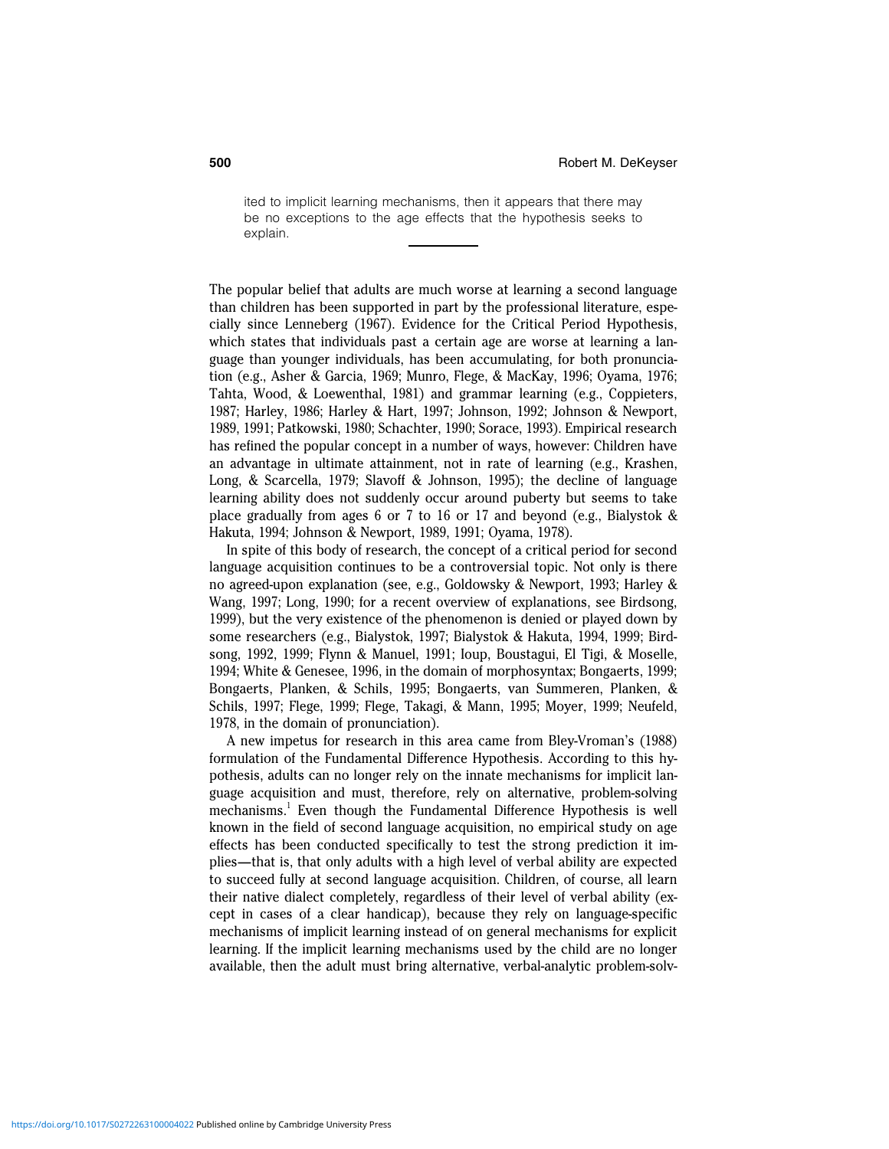**500** Robert M. DeKeyser

ited to implicit learning mechanisms, then it appears that there may be no exceptions to the age effects that the hypothesis seeks to explain.

The popular belief that adults are much worse at learning a second language than children has been supported in part by the professional literature, especially since Lenneberg (1967). Evidence for the Critical Period Hypothesis, which states that individuals past a certain age are worse at learning a language than younger individuals, has been accumulating, for both pronunciation (e.g., Asher & Garcia, 1969; Munro, Flege, & MacKay, 1996; Oyama, 1976; Tahta, Wood, & Loewenthal, 1981) and grammar learning (e.g., Coppieters, 1987; Harley, 1986; Harley & Hart, 1997; Johnson, 1992; Johnson & Newport, 1989, 1991; Patkowski, 1980; Schachter, 1990; Sorace, 1993). Empirical research has refined the popular concept in a number of ways, however: Children have an advantage in ultimate attainment, not in rate of learning (e.g., Krashen, Long, & Scarcella, 1979; Slavoff & Johnson, 1995); the decline of language learning ability does not suddenly occur around puberty but seems to take place gradually from ages 6 or 7 to 16 or 17 and beyond (e.g., Bialystok & Hakuta, 1994; Johnson & Newport, 1989, 1991; Oyama, 1978).

In spite of this body of research, the concept of a critical period for second language acquisition continues to be a controversial topic. Not only is there no agreed-upon explanation (see, e.g., Goldowsky & Newport, 1993; Harley & Wang, 1997; Long, 1990; for a recent overview of explanations, see Birdsong, 1999), but the very existence of the phenomenon is denied or played down by some researchers (e.g., Bialystok, 1997; Bialystok & Hakuta, 1994, 1999; Birdsong, 1992, 1999; Flynn & Manuel, 1991; Ioup, Boustagui, El Tigi, & Moselle, 1994; White & Genesee, 1996, in the domain of morphosyntax; Bongaerts, 1999; Bongaerts, Planken, & Schils, 1995; Bongaerts, van Summeren, Planken, & Schils, 1997; Flege, 1999; Flege, Takagi, & Mann, 1995; Moyer, 1999; Neufeld, 1978, in the domain of pronunciation).

A new impetus for research in this area came from Bley-Vroman's (1988) formulation of the Fundamental Difference Hypothesis. According to this hypothesis, adults can no longer rely on the innate mechanisms for implicit language acquisition and must, therefore, rely on alternative, problem-solving mechanisms.<sup>1</sup> Even though the Fundamental Difference Hypothesis is well known in the field of second language acquisition, no empirical study on age effects has been conducted specifically to test the strong prediction it implies—that is, that only adults with a high level of verbal ability are expected to succeed fully at second language acquisition. Children, of course, all learn their native dialect completely, regardless of their level of verbal ability (except in cases of a clear handicap), because they rely on language-specific mechanisms of implicit learning instead of on general mechanisms for explicit learning. If the implicit learning mechanisms used by the child are no longer available, then the adult must bring alternative, verbal-analytic problem-solv-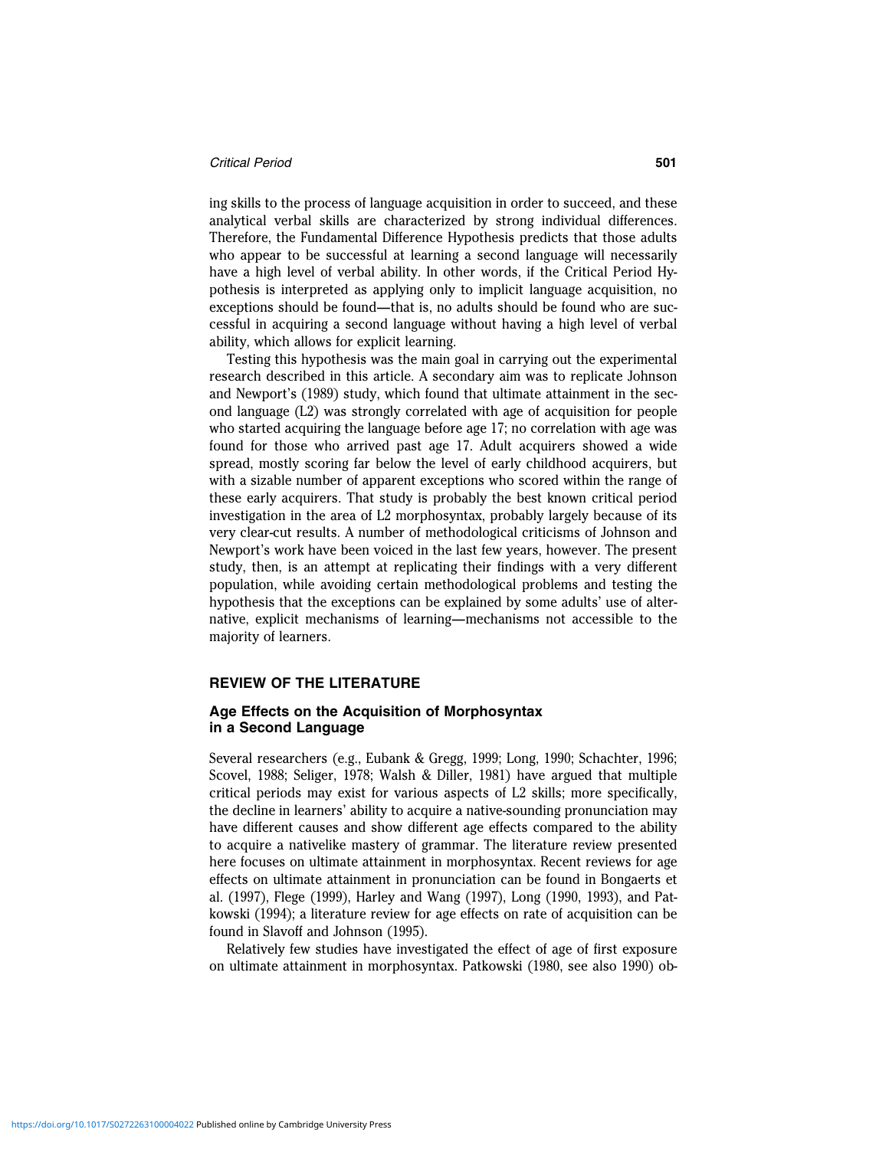ing skills to the process of language acquisition in order to succeed, and these analytical verbal skills are characterized by strong individual differences. Therefore, the Fundamental Difference Hypothesis predicts that those adults who appear to be successful at learning a second language will necessarily have a high level of verbal ability. In other words, if the Critical Period Hypothesis is interpreted as applying only to implicit language acquisition, no exceptions should be found—that is, no adults should be found who are successful in acquiring a second language without having a high level of verbal ability, which allows for explicit learning.

Testing this hypothesis was the main goal in carrying out the experimental research described in this article. A secondary aim was to replicate Johnson and Newport's (1989) study, which found that ultimate attainment in the second language (L2) was strongly correlated with age of acquisition for people who started acquiring the language before age 17; no correlation with age was found for those who arrived past age 17. Adult acquirers showed a wide spread, mostly scoring far below the level of early childhood acquirers, but with a sizable number of apparent exceptions who scored within the range of these early acquirers. That study is probably the best known critical period investigation in the area of L2 morphosyntax, probably largely because of its very clear-cut results. A number of methodological criticisms of Johnson and Newport's work have been voiced in the last few years, however. The present study, then, is an attempt at replicating their findings with a very different population, while avoiding certain methodological problems and testing the hypothesis that the exceptions can be explained by some adults' use of alternative, explicit mechanisms of learning—mechanisms not accessible to the majority of learners.

## **REVIEW OF THE LITERATURE**

#### **Age Effects on the Acquisition of Morphosyntax in a Second Language**

Several researchers (e.g., Eubank & Gregg, 1999; Long, 1990; Schachter, 1996; Scovel, 1988; Seliger, 1978; Walsh & Diller, 1981) have argued that multiple critical periods may exist for various aspects of L2 skills; more specifically, the decline in learners' ability to acquire a native-sounding pronunciation may have different causes and show different age effects compared to the ability to acquire a nativelike mastery of grammar. The literature review presented here focuses on ultimate attainment in morphosyntax. Recent reviews for age effects on ultimate attainment in pronunciation can be found in Bongaerts et al. (1997), Flege (1999), Harley and Wang (1997), Long (1990, 1993), and Patkowski (1994); a literature review for age effects on rate of acquisition can be found in Slavoff and Johnson (1995).

Relatively few studies have investigated the effect of age of first exposure on ultimate attainment in morphosyntax. Patkowski (1980, see also 1990) ob-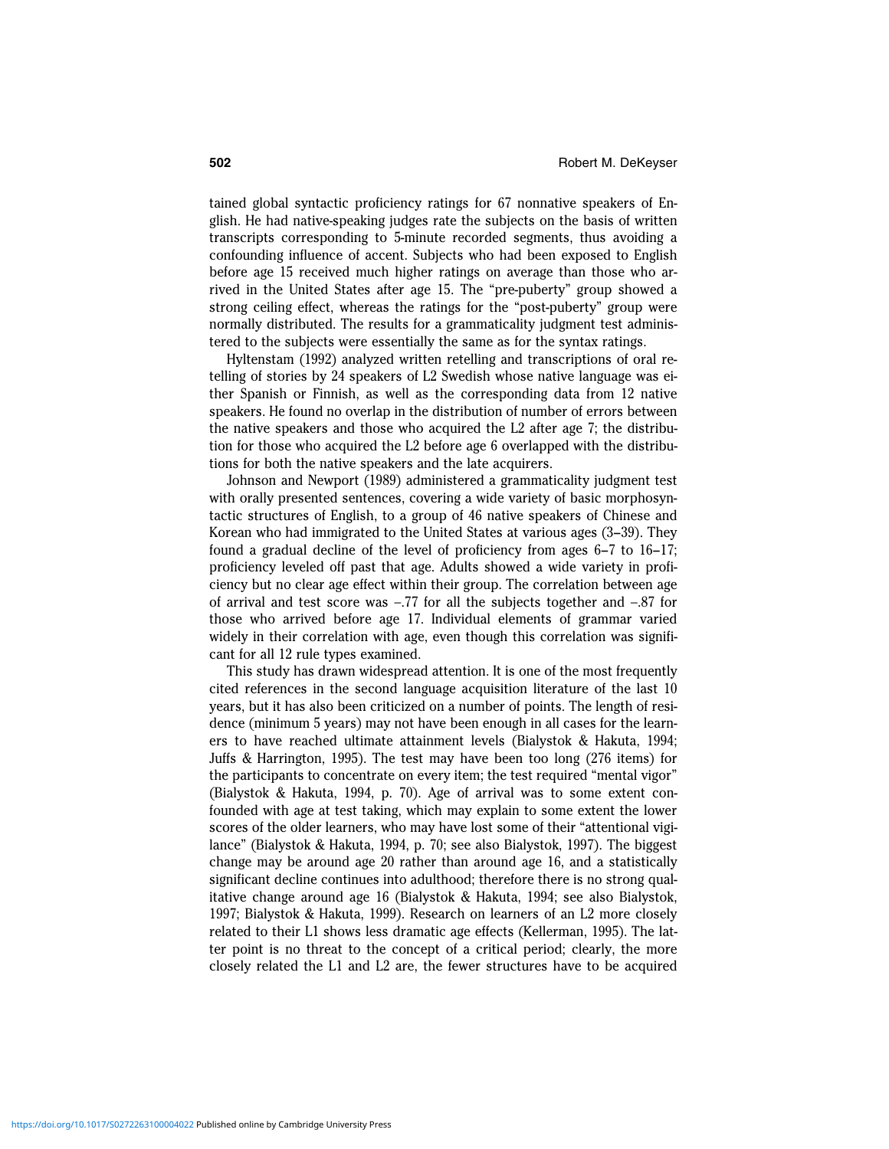tained global syntactic proficiency ratings for 67 nonnative speakers of English. He had native-speaking judges rate the subjects on the basis of written transcripts corresponding to 5-minute recorded segments, thus avoiding a confounding influence of accent. Subjects who had been exposed to English before age 15 received much higher ratings on average than those who arrived in the United States after age 15. The "pre-puberty" group showed a strong ceiling effect, whereas the ratings for the "post-puberty" group were normally distributed. The results for a grammaticality judgment test administered to the subjects were essentially the same as for the syntax ratings.

Hyltenstam (1992) analyzed written retelling and transcriptions of oral retelling of stories by 24 speakers of L2 Swedish whose native language was either Spanish or Finnish, as well as the corresponding data from 12 native speakers. He found no overlap in the distribution of number of errors between the native speakers and those who acquired the L2 after age 7; the distribution for those who acquired the L2 before age 6 overlapped with the distributions for both the native speakers and the late acquirers.

Johnson and Newport (1989) administered a grammaticality judgment test with orally presented sentences, covering a wide variety of basic morphosyntactic structures of English, to a group of 46 native speakers of Chinese and Korean who had immigrated to the United States at various ages (3–39). They found a gradual decline of the level of proficiency from ages 6–7 to 16–17; proficiency leveled off past that age. Adults showed a wide variety in proficiency but no clear age effect within their group. The correlation between age of arrival and test score was −.77 for all the subjects together and −.87 for those who arrived before age 17. Individual elements of grammar varied widely in their correlation with age, even though this correlation was significant for all 12 rule types examined.

This study has drawn widespread attention. It is one of the most frequently cited references in the second language acquisition literature of the last 10 years, but it has also been criticized on a number of points. The length of residence (minimum 5 years) may not have been enough in all cases for the learners to have reached ultimate attainment levels (Bialystok & Hakuta, 1994; Juffs & Harrington, 1995). The test may have been too long (276 items) for the participants to concentrate on every item; the test required "mental vigor" (Bialystok & Hakuta, 1994, p. 70). Age of arrival was to some extent confounded with age at test taking, which may explain to some extent the lower scores of the older learners, who may have lost some of their "attentional vigilance" (Bialystok & Hakuta, 1994, p. 70; see also Bialystok, 1997). The biggest change may be around age 20 rather than around age 16, and a statistically significant decline continues into adulthood; therefore there is no strong qualitative change around age 16 (Bialystok & Hakuta, 1994; see also Bialystok, 1997; Bialystok & Hakuta, 1999). Research on learners of an L2 more closely related to their L1 shows less dramatic age effects (Kellerman, 1995). The latter point is no threat to the concept of a critical period; clearly, the more closely related the L1 and L2 are, the fewer structures have to be acquired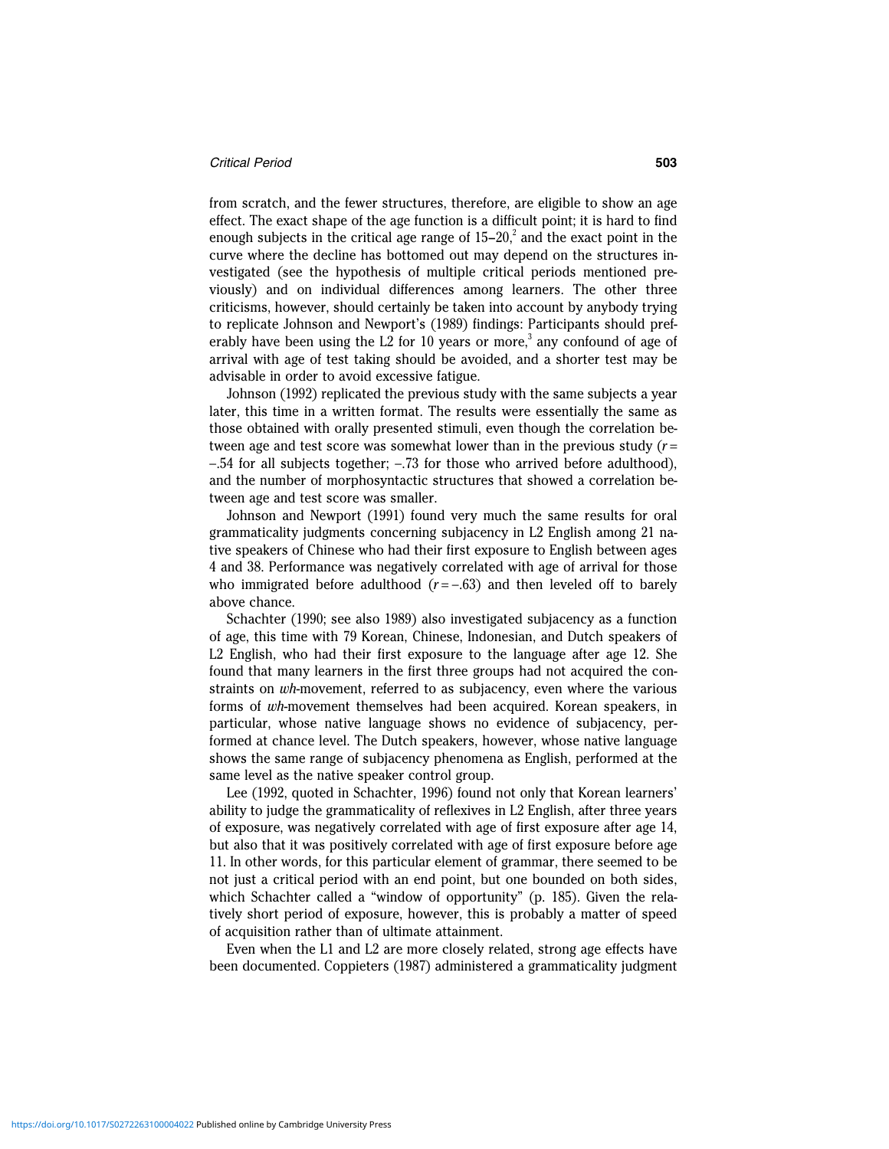from scratch, and the fewer structures, therefore, are eligible to show an age effect. The exact shape of the age function is a difficult point; it is hard to find enough subjects in the critical age range of  $15-20$ , and the exact point in the curve where the decline has bottomed out may depend on the structures investigated (see the hypothesis of multiple critical periods mentioned previously) and on individual differences among learners. The other three criticisms, however, should certainly be taken into account by anybody trying to replicate Johnson and Newport's (1989) findings: Participants should preferably have been using the L2 for 10 years or more,<sup>3</sup> any confound of age of arrival with age of test taking should be avoided, and a shorter test may be advisable in order to avoid excessive fatigue.

Johnson (1992) replicated the previous study with the same subjects a year later, this time in a written format. The results were essentially the same as those obtained with orally presented stimuli, even though the correlation between age and test score was somewhat lower than in the previous study (*r* = −.54 for all subjects together; −.73 for those who arrived before adulthood), and the number of morphosyntactic structures that showed a correlation between age and test score was smaller.

Johnson and Newport (1991) found very much the same results for oral grammaticality judgments concerning subjacency in L2 English among 21 native speakers of Chinese who had their first exposure to English between ages 4 and 38. Performance was negatively correlated with age of arrival for those who immigrated before adulthood  $(r = -.63)$  and then leveled off to barely above chance.

Schachter (1990; see also 1989) also investigated subjacency as a function of age, this time with 79 Korean, Chinese, Indonesian, and Dutch speakers of L2 English, who had their first exposure to the language after age 12. She found that many learners in the first three groups had not acquired the constraints on *wh*-movement, referred to as subjacency, even where the various forms of *wh*-movement themselves had been acquired. Korean speakers, in particular, whose native language shows no evidence of subjacency, performed at chance level. The Dutch speakers, however, whose native language shows the same range of subjacency phenomena as English, performed at the same level as the native speaker control group.

Lee (1992, quoted in Schachter, 1996) found not only that Korean learners' ability to judge the grammaticality of reflexives in L2 English, after three years of exposure, was negatively correlated with age of first exposure after age 14, but also that it was positively correlated with age of first exposure before age 11. In other words, for this particular element of grammar, there seemed to be not just a critical period with an end point, but one bounded on both sides, which Schachter called a "window of opportunity" (p. 185). Given the relatively short period of exposure, however, this is probably a matter of speed of acquisition rather than of ultimate attainment.

Even when the L1 and L2 are more closely related, strong age effects have been documented. Coppieters (1987) administered a grammaticality judgment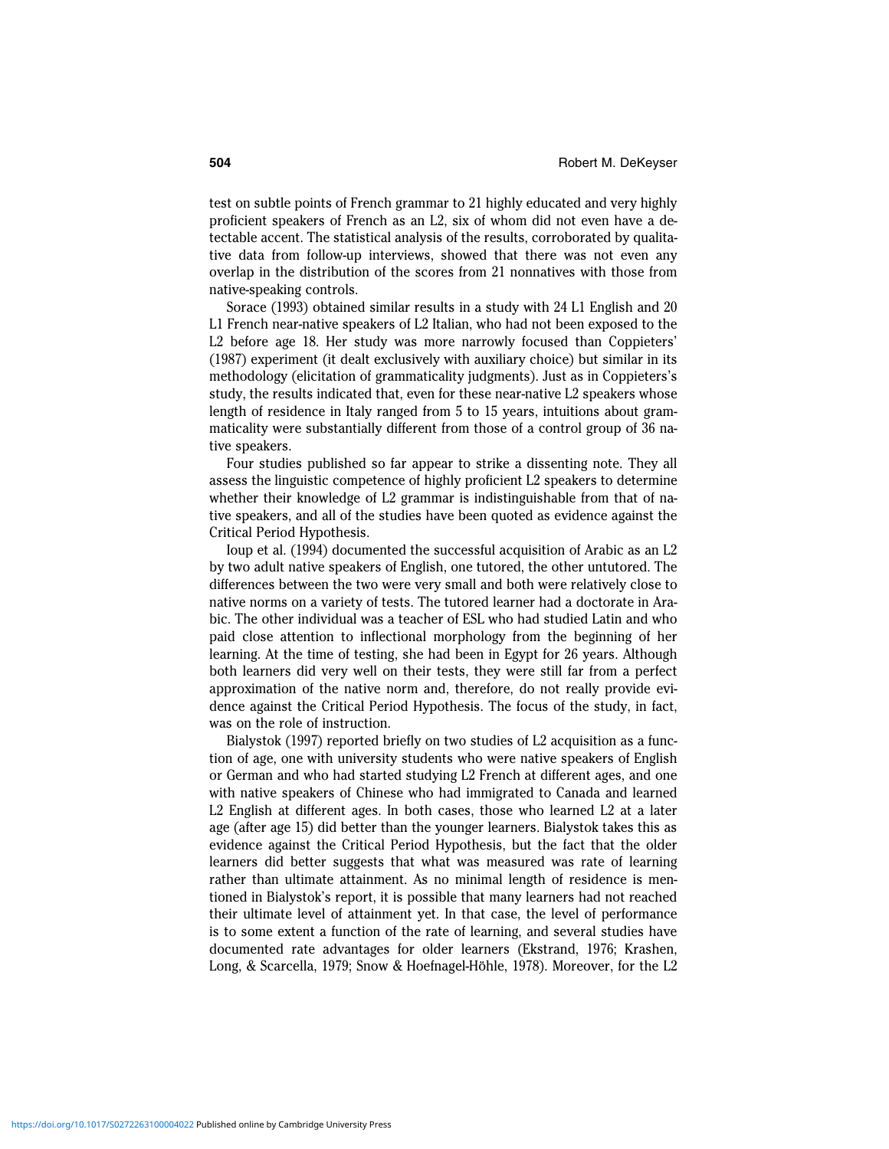test on subtle points of French grammar to 21 highly educated and very highly proficient speakers of French as an L2, six of whom did not even have a detectable accent. The statistical analysis of the results, corroborated by qualitative data from follow-up interviews, showed that there was not even any overlap in the distribution of the scores from 21 nonnatives with those from native-speaking controls.

Sorace (1993) obtained similar results in a study with 24 L1 English and 20 L1 French near-native speakers of L2 Italian, who had not been exposed to the L2 before age 18. Her study was more narrowly focused than Coppieters' (1987) experiment (it dealt exclusively with auxiliary choice) but similar in its methodology (elicitation of grammaticality judgments). Just as in Coppieters's study, the results indicated that, even for these near-native L2 speakers whose length of residence in Italy ranged from 5 to 15 years, intuitions about grammaticality were substantially different from those of a control group of 36 native speakers.

Four studies published so far appear to strike a dissenting note. They all assess the linguistic competence of highly proficient L2 speakers to determine whether their knowledge of L2 grammar is indistinguishable from that of native speakers, and all of the studies have been quoted as evidence against the Critical Period Hypothesis.

Ioup et al. (1994) documented the successful acquisition of Arabic as an L2 by two adult native speakers of English, one tutored, the other untutored. The differences between the two were very small and both were relatively close to native norms on a variety of tests. The tutored learner had a doctorate in Arabic. The other individual was a teacher of ESL who had studied Latin and who paid close attention to inflectional morphology from the beginning of her learning. At the time of testing, she had been in Egypt for 26 years. Although both learners did very well on their tests, they were still far from a perfect approximation of the native norm and, therefore, do not really provide evidence against the Critical Period Hypothesis. The focus of the study, in fact, was on the role of instruction.

Bialystok (1997) reported briefly on two studies of L2 acquisition as a function of age, one with university students who were native speakers of English or German and who had started studying L2 French at different ages, and one with native speakers of Chinese who had immigrated to Canada and learned L2 English at different ages. In both cases, those who learned L2 at a later age (after age 15) did better than the younger learners. Bialystok takes this as evidence against the Critical Period Hypothesis, but the fact that the older learners did better suggests that what was measured was rate of learning rather than ultimate attainment. As no minimal length of residence is mentioned in Bialystok's report, it is possible that many learners had not reached their ultimate level of attainment yet. In that case, the level of performance is to some extent a function of the rate of learning, and several studies have documented rate advantages for older learners (Ekstrand, 1976; Krashen, Long, & Scarcella, 1979; Snow & Hoefnagel-Höhle, 1978). Moreover, for the L2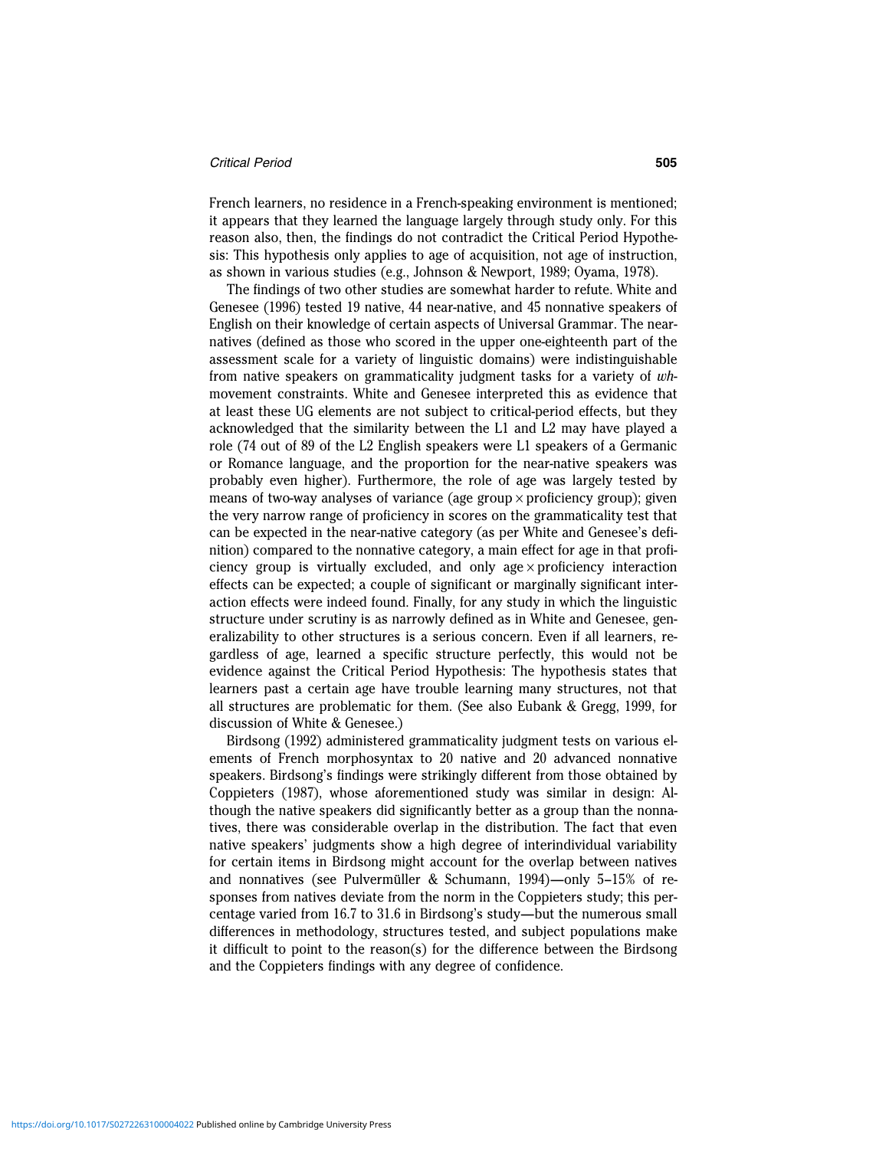French learners, no residence in a French-speaking environment is mentioned; it appears that they learned the language largely through study only. For this reason also, then, the findings do not contradict the Critical Period Hypothesis: This hypothesis only applies to age of acquisition, not age of instruction, as shown in various studies (e.g., Johnson & Newport, 1989; Oyama, 1978).

The findings of two other studies are somewhat harder to refute. White and Genesee (1996) tested 19 native, 44 near-native, and 45 nonnative speakers of English on their knowledge of certain aspects of Universal Grammar. The nearnatives (defined as those who scored in the upper one-eighteenth part of the assessment scale for a variety of linguistic domains) were indistinguishable from native speakers on grammaticality judgment tasks for a variety of *wh*movement constraints. White and Genesee interpreted this as evidence that at least these UG elements are not subject to critical-period effects, but they acknowledged that the similarity between the L1 and L2 may have played a role (74 out of 89 of the L2 English speakers were L1 speakers of a Germanic or Romance language, and the proportion for the near-native speakers was probably even higher). Furthermore, the role of age was largely tested by means of two-way analyses of variance (age group  $\times$  proficiency group); given the very narrow range of proficiency in scores on the grammaticality test that can be expected in the near-native category (as per White and Genesee's definition) compared to the nonnative category, a main effect for age in that proficiency group is virtually excluded, and only age  $\times$  proficiency interaction effects can be expected; a couple of significant or marginally significant interaction effects were indeed found. Finally, for any study in which the linguistic structure under scrutiny is as narrowly defined as in White and Genesee, generalizability to other structures is a serious concern. Even if all learners, regardless of age, learned a specific structure perfectly, this would not be evidence against the Critical Period Hypothesis: The hypothesis states that learners past a certain age have trouble learning many structures, not that all structures are problematic for them. (See also Eubank & Gregg, 1999, for discussion of White & Genesee.)

Birdsong (1992) administered grammaticality judgment tests on various elements of French morphosyntax to 20 native and 20 advanced nonnative speakers. Birdsong's findings were strikingly different from those obtained by Coppieters (1987), whose aforementioned study was similar in design: Although the native speakers did significantly better as a group than the nonnatives, there was considerable overlap in the distribution. The fact that even native speakers' judgments show a high degree of interindividual variability for certain items in Birdsong might account for the overlap between natives and nonnatives (see Pulvermüller & Schumann, 1994)—only  $5-15%$  of responses from natives deviate from the norm in the Coppieters study; this percentage varied from 16.7 to 31.6 in Birdsong's study—but the numerous small differences in methodology, structures tested, and subject populations make it difficult to point to the reason(s) for the difference between the Birdsong and the Coppieters findings with any degree of confidence.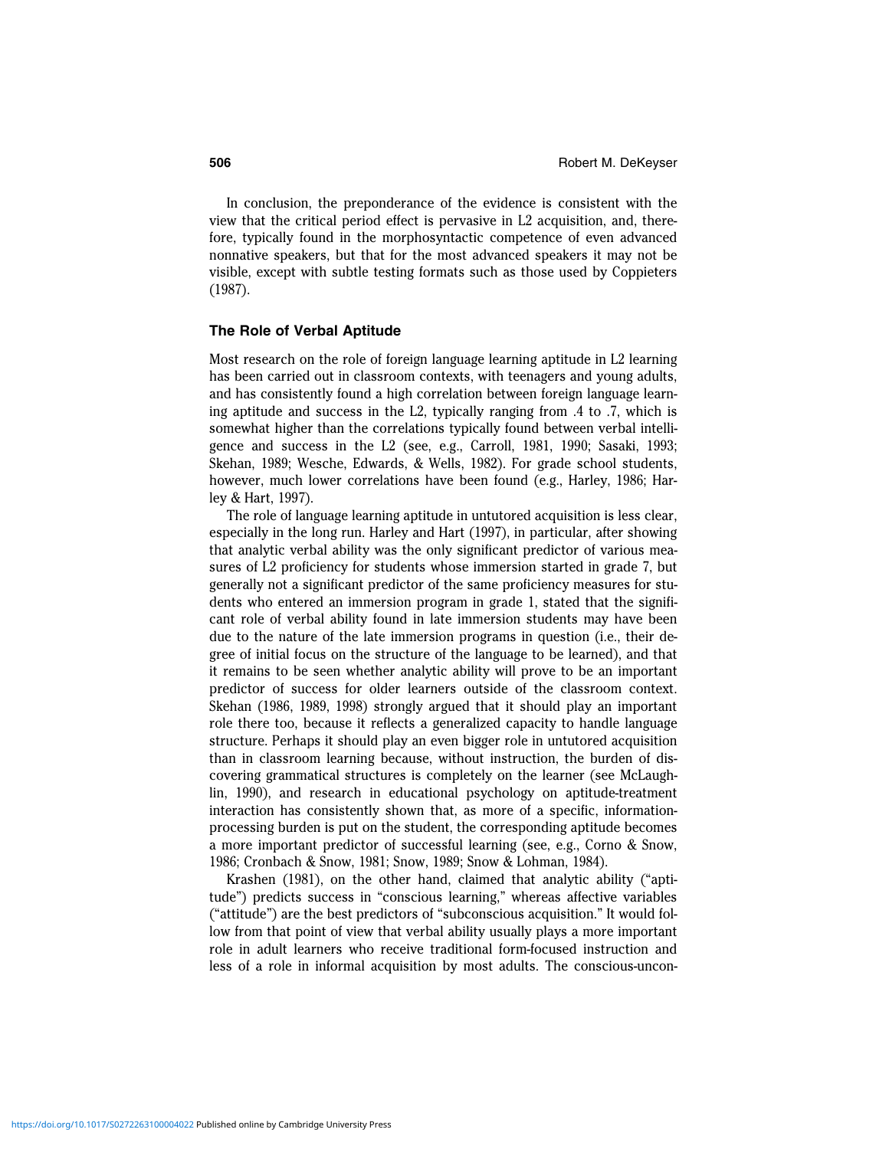In conclusion, the preponderance of the evidence is consistent with the view that the critical period effect is pervasive in L2 acquisition, and, therefore, typically found in the morphosyntactic competence of even advanced nonnative speakers, but that for the most advanced speakers it may not be visible, except with subtle testing formats such as those used by Coppieters (1987).

#### **The Role of Verbal Aptitude**

Most research on the role of foreign language learning aptitude in L2 learning has been carried out in classroom contexts, with teenagers and young adults, and has consistently found a high correlation between foreign language learning aptitude and success in the L2, typically ranging from .4 to .7, which is somewhat higher than the correlations typically found between verbal intelligence and success in the L2 (see, e.g., Carroll, 1981, 1990; Sasaki, 1993; Skehan, 1989; Wesche, Edwards, & Wells, 1982). For grade school students, however, much lower correlations have been found (e.g., Harley, 1986; Harley & Hart, 1997).

The role of language learning aptitude in untutored acquisition is less clear, especially in the long run. Harley and Hart (1997), in particular, after showing that analytic verbal ability was the only significant predictor of various measures of L2 proficiency for students whose immersion started in grade 7, but generally not a significant predictor of the same proficiency measures for students who entered an immersion program in grade 1, stated that the significant role of verbal ability found in late immersion students may have been due to the nature of the late immersion programs in question (i.e., their degree of initial focus on the structure of the language to be learned), and that it remains to be seen whether analytic ability will prove to be an important predictor of success for older learners outside of the classroom context. Skehan (1986, 1989, 1998) strongly argued that it should play an important role there too, because it reflects a generalized capacity to handle language structure. Perhaps it should play an even bigger role in untutored acquisition than in classroom learning because, without instruction, the burden of discovering grammatical structures is completely on the learner (see McLaughlin, 1990), and research in educational psychology on aptitude-treatment interaction has consistently shown that, as more of a specific, informationprocessing burden is put on the student, the corresponding aptitude becomes a more important predictor of successful learning (see, e.g., Corno & Snow, 1986; Cronbach & Snow, 1981; Snow, 1989; Snow & Lohman, 1984).

Krashen (1981), on the other hand, claimed that analytic ability ("aptitude") predicts success in "conscious learning," whereas affective variables ("attitude") are the best predictors of "subconscious acquisition." It would follow from that point of view that verbal ability usually plays a more important role in adult learners who receive traditional form-focused instruction and less of a role in informal acquisition by most adults. The conscious-uncon-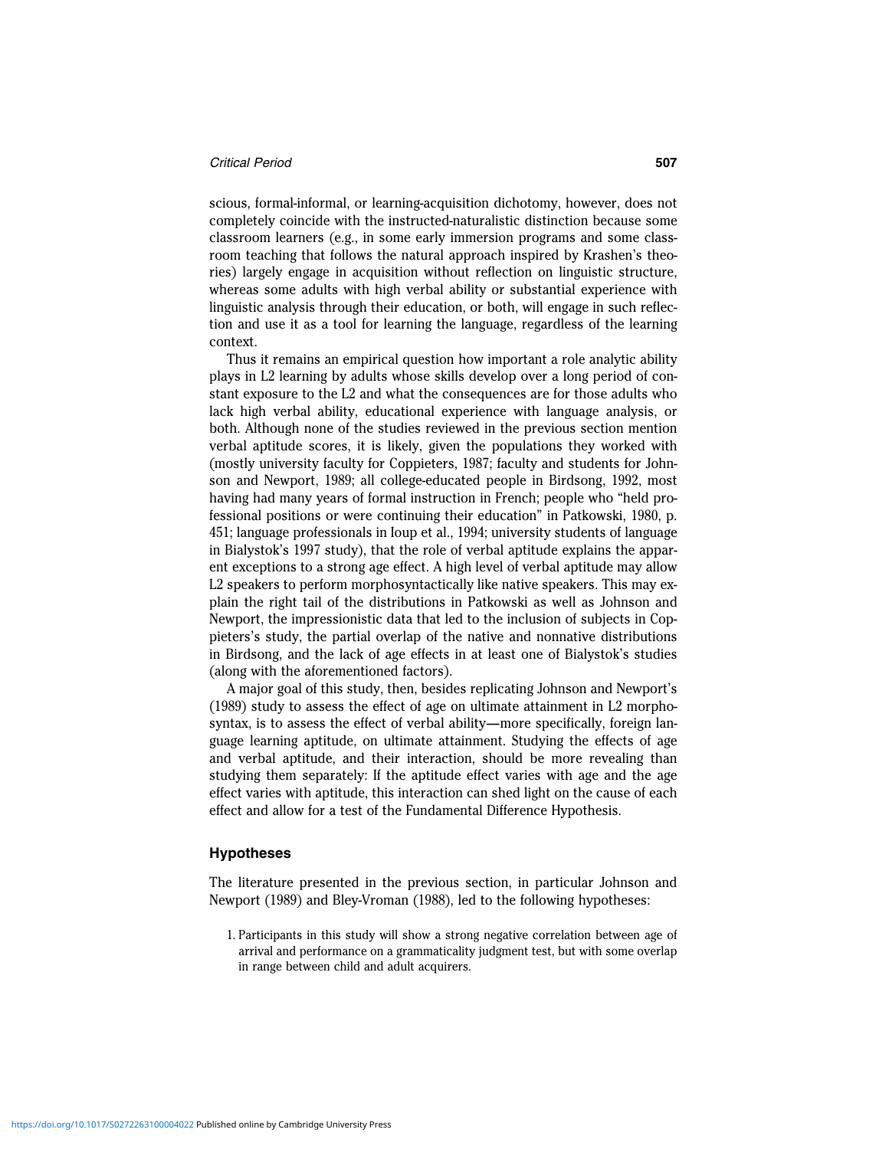scious, formal-informal, or learning-acquisition dichotomy, however, does not completely coincide with the instructed-naturalistic distinction because some classroom learners (e.g., in some early immersion programs and some classroom teaching that follows the natural approach inspired by Krashen's theories) largely engage in acquisition without reflection on linguistic structure, whereas some adults with high verbal ability or substantial experience with linguistic analysis through their education, or both, will engage in such reflection and use it as a tool for learning the language, regardless of the learning context.

Thus it remains an empirical question how important a role analytic ability plays in L2 learning by adults whose skills develop over a long period of constant exposure to the L2 and what the consequences are for those adults who lack high verbal ability, educational experience with language analysis, or both. Although none of the studies reviewed in the previous section mention verbal aptitude scores, it is likely, given the populations they worked with (mostly university faculty for Coppieters, 1987; faculty and students for Johnson and Newport, 1989; all college-educated people in Birdsong, 1992, most having had many years of formal instruction in French; people who "held professional positions or were continuing their education" in Patkowski, 1980, p. 451; language professionals in Ioup et al., 1994; university students of language in Bialystok's 1997 study), that the role of verbal aptitude explains the apparent exceptions to a strong age effect. A high level of verbal aptitude may allow L2 speakers to perform morphosyntactically like native speakers. This may explain the right tail of the distributions in Patkowski as well as Johnson and Newport, the impressionistic data that led to the inclusion of subjects in Coppieters's study, the partial overlap of the native and nonnative distributions in Birdsong, and the lack of age effects in at least one of Bialystok's studies (along with the aforementioned factors).

A major goal of this study, then, besides replicating Johnson and Newport's (1989) study to assess the effect of age on ultimate attainment in L2 morphosyntax, is to assess the effect of verbal ability—more specifically, foreign language learning aptitude, on ultimate attainment. Studying the effects of age and verbal aptitude, and their interaction, should be more revealing than studying them separately: If the aptitude effect varies with age and the age effect varies with aptitude, this interaction can shed light on the cause of each effect and allow for a test of the Fundamental Difference Hypothesis.

### **Hypotheses**

The literature presented in the previous section, in particular Johnson and Newport (1989) and Bley-Vroman (1988), led to the following hypotheses:

1. Participants in this study will show a strong negative correlation between age of arrival and performance on a grammaticality judgment test, but with some overlap in range between child and adult acquirers.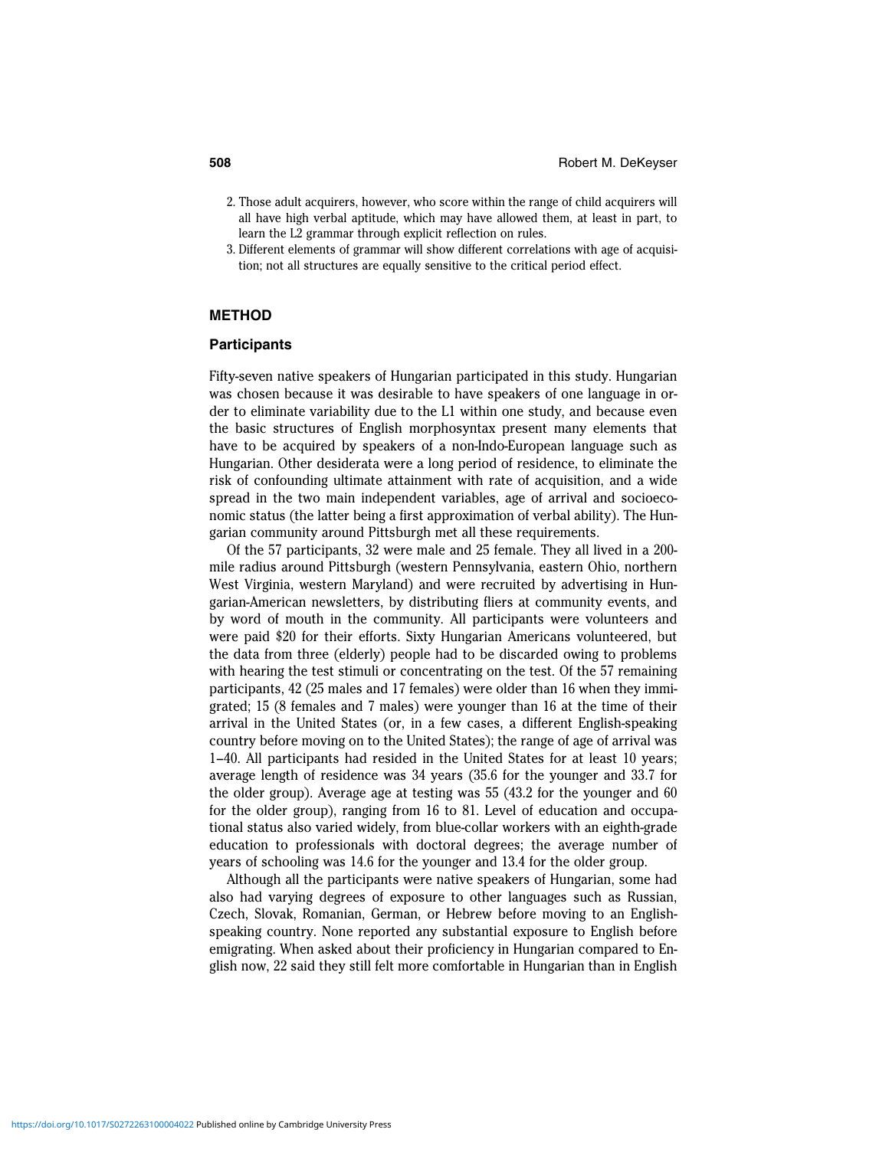- 2. Those adult acquirers, however, who score within the range of child acquirers will all have high verbal aptitude, which may have allowed them, at least in part, to learn the L2 grammar through explicit reflection on rules.
- 3. Different elements of grammar will show different correlations with age of acquisition; not all structures are equally sensitive to the critical period effect.

# **METHOD**

### **Participants**

Fifty-seven native speakers of Hungarian participated in this study. Hungarian was chosen because it was desirable to have speakers of one language in order to eliminate variability due to the L1 within one study, and because even the basic structures of English morphosyntax present many elements that have to be acquired by speakers of a non-Indo-European language such as Hungarian. Other desiderata were a long period of residence, to eliminate the risk of confounding ultimate attainment with rate of acquisition, and a wide spread in the two main independent variables, age of arrival and socioeconomic status (the latter being a first approximation of verbal ability). The Hungarian community around Pittsburgh met all these requirements.

Of the 57 participants, 32 were male and 25 female. They all lived in a 200 mile radius around Pittsburgh (western Pennsylvania, eastern Ohio, northern West Virginia, western Maryland) and were recruited by advertising in Hungarian-American newsletters, by distributing fliers at community events, and by word of mouth in the community. All participants were volunteers and were paid \$20 for their efforts. Sixty Hungarian Americans volunteered, but the data from three (elderly) people had to be discarded owing to problems with hearing the test stimuli or concentrating on the test. Of the 57 remaining participants, 42 (25 males and 17 females) were older than 16 when they immigrated; 15 (8 females and 7 males) were younger than 16 at the time of their arrival in the United States (or, in a few cases, a different English-speaking country before moving on to the United States); the range of age of arrival was 1–40. All participants had resided in the United States for at least 10 years; average length of residence was 34 years (35.6 for the younger and 33.7 for the older group). Average age at testing was 55 (43.2 for the younger and 60 for the older group), ranging from 16 to 81. Level of education and occupational status also varied widely, from blue-collar workers with an eighth-grade education to professionals with doctoral degrees; the average number of years of schooling was 14.6 for the younger and 13.4 for the older group.

Although all the participants were native speakers of Hungarian, some had also had varying degrees of exposure to other languages such as Russian, Czech, Slovak, Romanian, German, or Hebrew before moving to an Englishspeaking country. None reported any substantial exposure to English before emigrating. When asked about their proficiency in Hungarian compared to English now, 22 said they still felt more comfortable in Hungarian than in English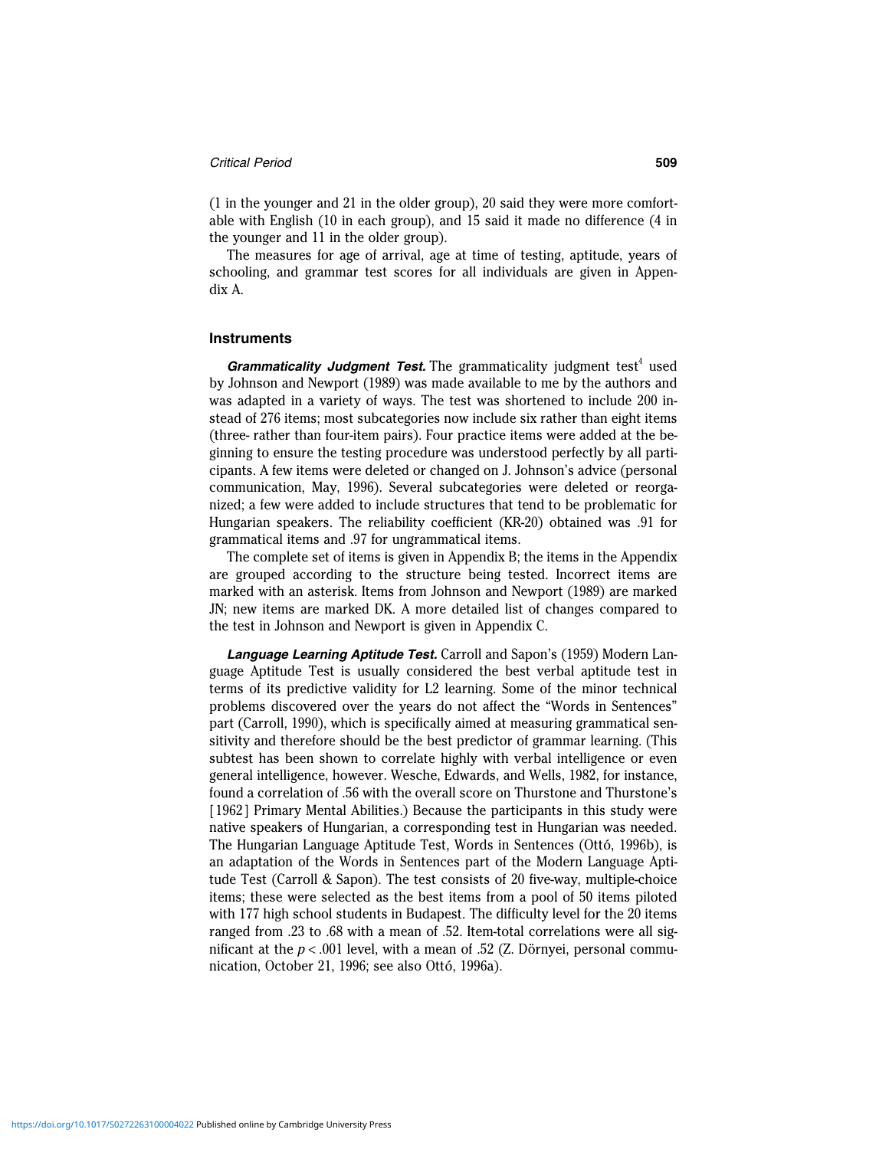(1 in the younger and 21 in the older group), 20 said they were more comfortable with English (10 in each group), and 15 said it made no difference (4 in the younger and 11 in the older group).

The measures for age of arrival, age at time of testing, aptitude, years of schooling, and grammar test scores for all individuals are given in Appendix A.

#### **Instruments**

*Grammaticality Judgment Test.* The grammaticality judgment test<sup>4</sup> used by Johnson and Newport (1989) was made available to me by the authors and was adapted in a variety of ways. The test was shortened to include 200 instead of 276 items; most subcategories now include six rather than eight items (three- rather than four-item pairs). Four practice items were added at the beginning to ensure the testing procedure was understood perfectly by all participants. A few items were deleted or changed on J. Johnson's advice (personal communication, May, 1996). Several subcategories were deleted or reorganized; a few were added to include structures that tend to be problematic for Hungarian speakers. The reliability coefficient (KR-20) obtained was .91 for grammatical items and .97 for ungrammatical items.

The complete set of items is given in Appendix B; the items in the Appendix are grouped according to the structure being tested. Incorrect items are marked with an asterisk. Items from Johnson and Newport (1989) are marked JN; new items are marked DK. A more detailed list of changes compared to the test in Johnson and Newport is given in Appendix C.

*Language Learning Aptitude Test.* Carroll and Sapon's (1959) Modern Language Aptitude Test is usually considered the best verbal aptitude test in terms of its predictive validity for L2 learning. Some of the minor technical problems discovered over the years do not affect the "Words in Sentences" part (Carroll, 1990), which is specifically aimed at measuring grammatical sensitivity and therefore should be the best predictor of grammar learning. (This subtest has been shown to correlate highly with verbal intelligence or even general intelligence, however. Wesche, Edwards, and Wells, 1982, for instance, found a correlation of .56 with the overall score on Thurstone and Thurstone's [1962] Primary Mental Abilities.) Because the participants in this study were native speakers of Hungarian, a corresponding test in Hungarian was needed. The Hungarian Language Aptitude Test, Words in Sentences (Ottó, 1996b), is an adaptation of the Words in Sentences part of the Modern Language Aptitude Test (Carroll & Sapon). The test consists of 20 five-way, multiple-choice items; these were selected as the best items from a pool of 50 items piloted with 177 high school students in Budapest. The difficulty level for the 20 items ranged from .23 to .68 with a mean of .52. Item-total correlations were all significant at the  $p < .001$  level, with a mean of .52 (Z. Dörnyei, personal communication, October 21, 1996; see also Ottó, 1996a).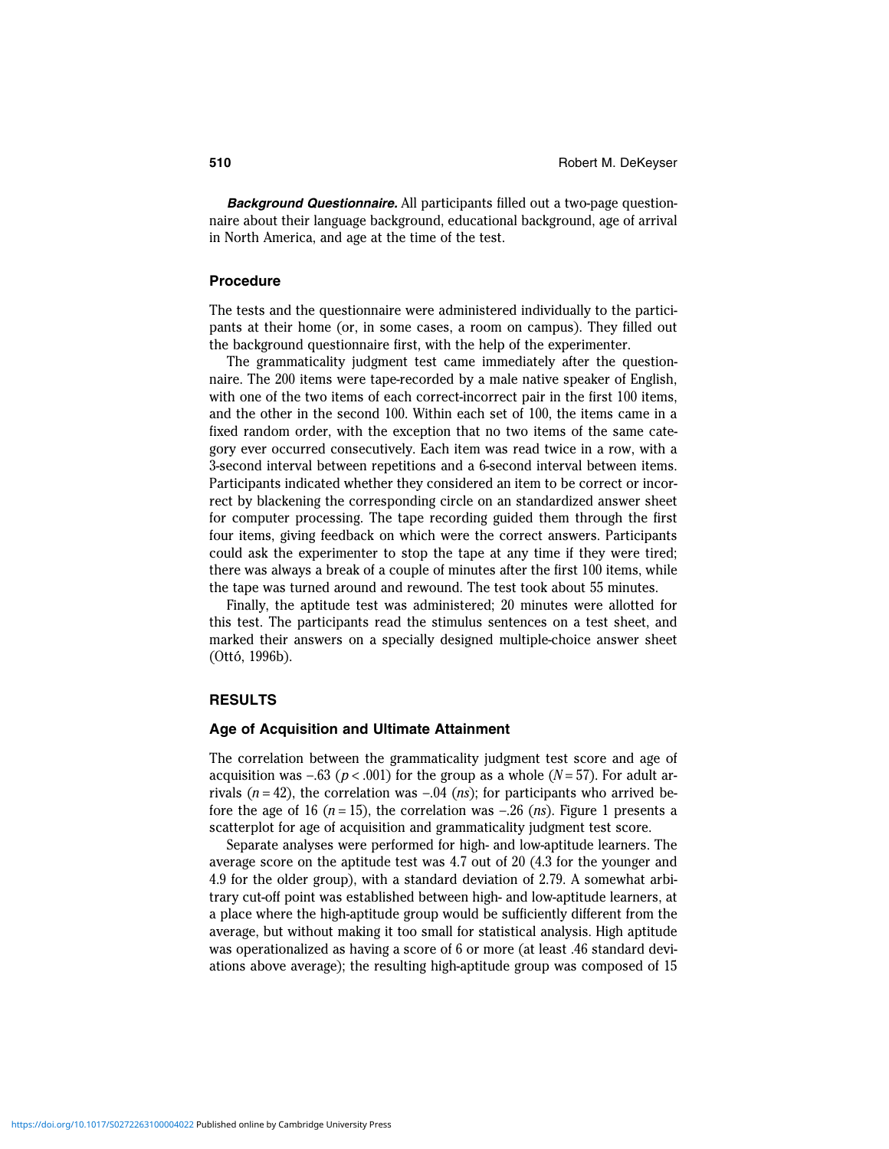*Background Questionnaire.* All participants filled out a two-page questionnaire about their language background, educational background, age of arrival in North America, and age at the time of the test.

# **Procedure**

The tests and the questionnaire were administered individually to the participants at their home (or, in some cases, a room on campus). They filled out the background questionnaire first, with the help of the experimenter.

The grammaticality judgment test came immediately after the questionnaire. The 200 items were tape-recorded by a male native speaker of English, with one of the two items of each correct-incorrect pair in the first 100 items, and the other in the second 100. Within each set of 100, the items came in a fixed random order, with the exception that no two items of the same category ever occurred consecutively. Each item was read twice in a row, with a 3-second interval between repetitions and a 6-second interval between items. Participants indicated whether they considered an item to be correct or incorrect by blackening the corresponding circle on an standardized answer sheet for computer processing. The tape recording guided them through the first four items, giving feedback on which were the correct answers. Participants could ask the experimenter to stop the tape at any time if they were tired; there was always a break of a couple of minutes after the first 100 items, while the tape was turned around and rewound. The test took about 55 minutes.

Finally, the aptitude test was administered; 20 minutes were allotted for this test. The participants read the stimulus sentences on a test sheet, and marked their answers on a specially designed multiple-choice answer sheet (Ottó, 1996b).

## **RESULTS**

#### **Age of Acquisition and Ultimate Attainment**

The correlation between the grammaticality judgment test score and age of acquisition was  $-.63$  ( $p < .001$ ) for the group as a whole ( $N = 57$ ). For adult arrivals ( $n = 42$ ), the correlation was  $-0.04$  (*ns*); for participants who arrived before the age of 16 (*n* = 15), the correlation was −.26 (*ns*). Figure 1 presents a scatterplot for age of acquisition and grammaticality judgment test score.

Separate analyses were performed for high- and low-aptitude learners. The average score on the aptitude test was 4.7 out of 20 (4.3 for the younger and 4.9 for the older group), with a standard deviation of 2.79. A somewhat arbitrary cut-off point was established between high- and low-aptitude learners, at a place where the high-aptitude group would be sufficiently different from the average, but without making it too small for statistical analysis. High aptitude was operationalized as having a score of 6 or more (at least .46 standard deviations above average); the resulting high-aptitude group was composed of 15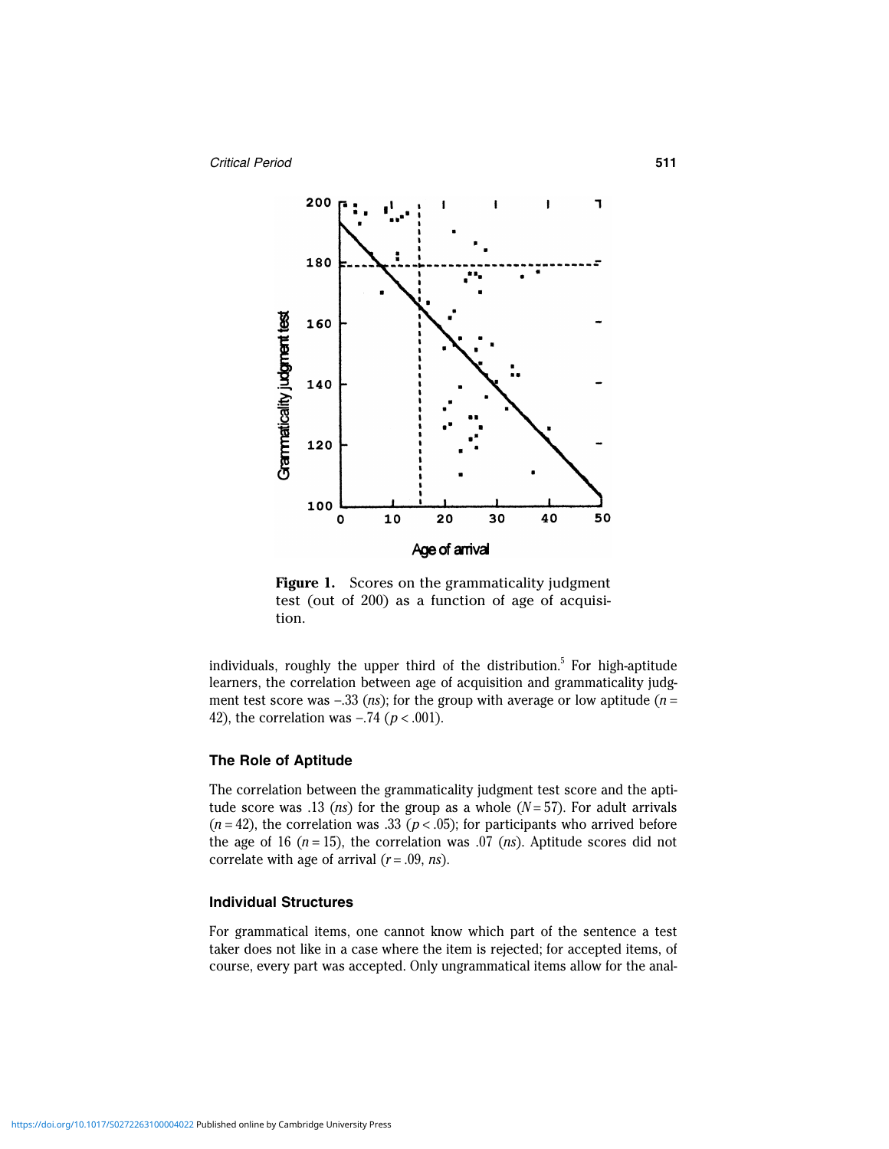

Figure 1. Scores on the grammaticality judgment test (out of 200) as a function of age of acquisition.

individuals, roughly the upper third of the distribution.<sup>5</sup> For high-aptitude learners, the correlation between age of acquisition and grammaticality judgment test score was −.33 (*ns*); for the group with average or low aptitude (*n* = 42), the correlation was −.74 (*p* < .001).

# **The Role of Aptitude**

The correlation between the grammaticality judgment test score and the aptitude score was .13 (*ns*) for the group as a whole  $(N = 57)$ . For adult arrivals  $(n = 42)$ , the correlation was .33 ( $p < .05$ ); for participants who arrived before the age of 16  $(n=15)$ , the correlation was .07  $(ns)$ . Aptitude scores did not correlate with age of arrival (*r* = .09, *ns*).

# **Individual Structures**

For grammatical items, one cannot know which part of the sentence a test taker does not like in a case where the item is rejected; for accepted items, of course, every part was accepted. Only ungrammatical items allow for the anal-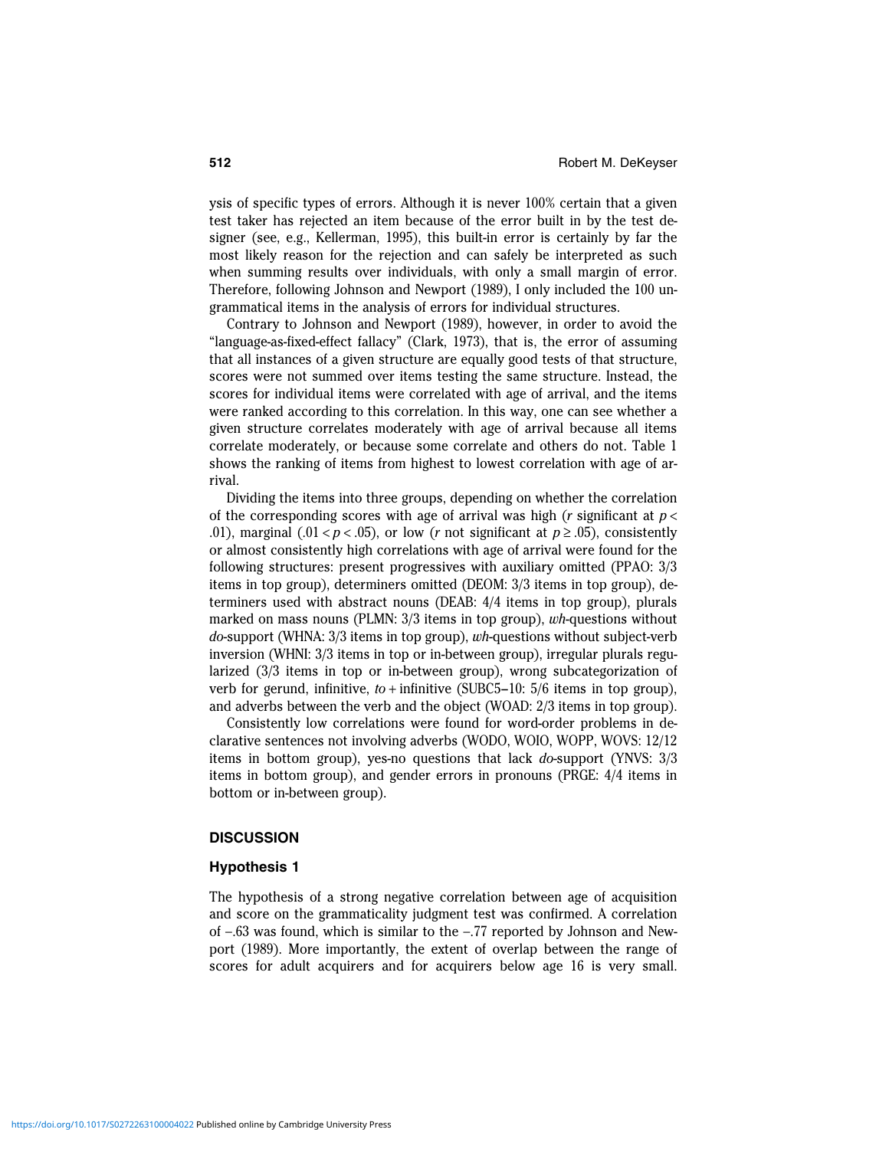ysis of specific types of errors. Although it is never 100% certain that a given test taker has rejected an item because of the error built in by the test designer (see, e.g., Kellerman, 1995), this built-in error is certainly by far the most likely reason for the rejection and can safely be interpreted as such when summing results over individuals, with only a small margin of error. Therefore, following Johnson and Newport (1989), I only included the 100 ungrammatical items in the analysis of errors for individual structures.

Contrary to Johnson and Newport (1989), however, in order to avoid the "language-as-fixed-effect fallacy" (Clark, 1973), that is, the error of assuming that all instances of a given structure are equally good tests of that structure, scores were not summed over items testing the same structure. Instead, the scores for individual items were correlated with age of arrival, and the items were ranked according to this correlation. In this way, one can see whether a given structure correlates moderately with age of arrival because all items correlate moderately, or because some correlate and others do not. Table 1 shows the ranking of items from highest to lowest correlation with age of arrival.

Dividing the items into three groups, depending on whether the correlation of the corresponding scores with age of arrival was high (*r* significant at *p* < .01), marginal (.01 <  $p$  < .05), or low (*r* not significant at  $p \ge 0.05$ ), consistently or almost consistently high correlations with age of arrival were found for the following structures: present progressives with auxiliary omitted (PPAO: 3/3 items in top group), determiners omitted (DEOM: 3/3 items in top group), determiners used with abstract nouns (DEAB: 4/4 items in top group), plurals marked on mass nouns (PLMN: 3/3 items in top group), *wh*-questions without *do*-support (WHNA: 3/3 items in top group), *wh*-questions without subject-verb inversion (WHNI: 3/3 items in top or in-between group), irregular plurals regularized (3/3 items in top or in-between group), wrong subcategorization of verb for gerund, infinitive, *to* + infinitive (SUBC5–10: 5/6 items in top group), and adverbs between the verb and the object (WOAD: 2/3 items in top group).

Consistently low correlations were found for word-order problems in declarative sentences not involving adverbs (WODO, WOIO, WOPP, WOVS: 12/12 items in bottom group), yes-no questions that lack *do*-support (YNVS: 3/3 items in bottom group), and gender errors in pronouns (PRGE: 4/4 items in bottom or in-between group).

#### **DISCUSSION**

#### **Hypothesis 1**

The hypothesis of a strong negative correlation between age of acquisition and score on the grammaticality judgment test was confirmed. A correlation of −.63 was found, which is similar to the −.77 reported by Johnson and Newport (1989). More importantly, the extent of overlap between the range of scores for adult acquirers and for acquirers below age 16 is very small.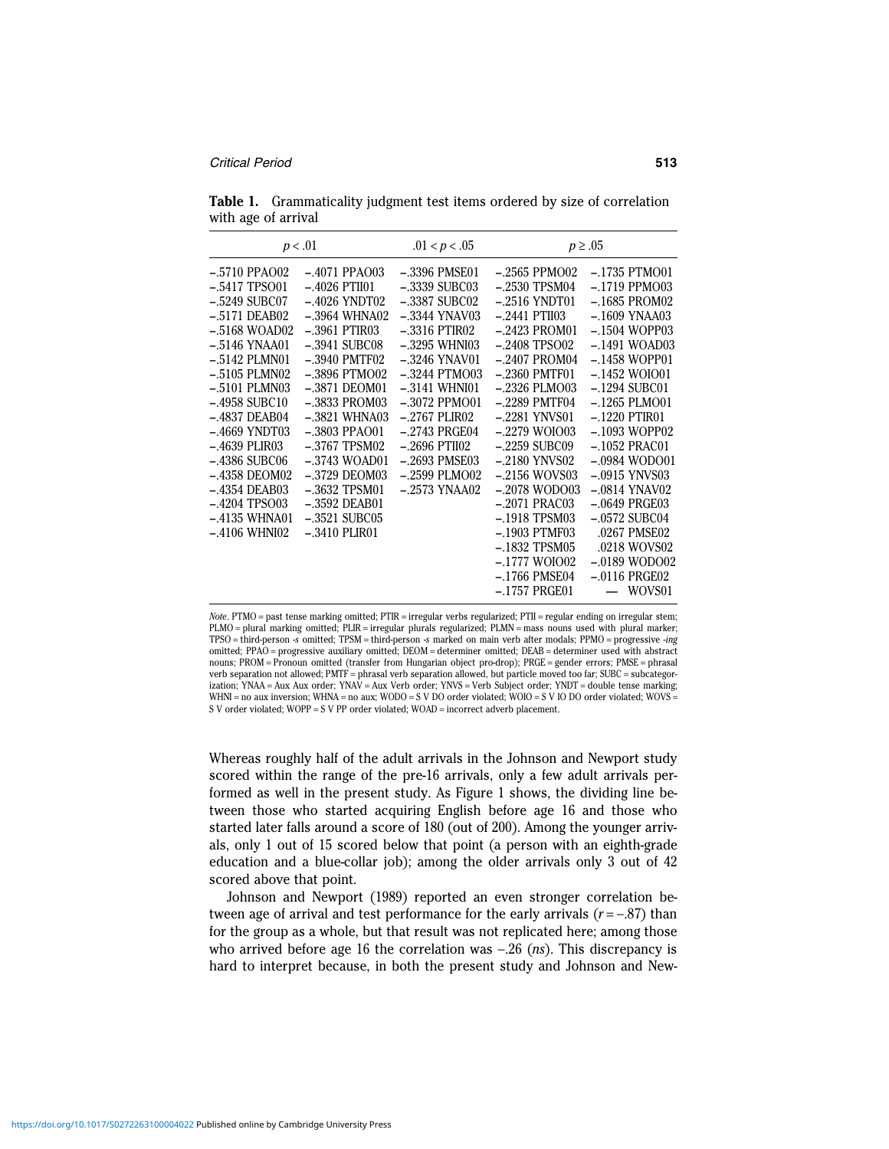|                                                                                                                                                                                                                                                                                                                                                                | p < .01                                                                                                                                                                                                                                                                                                                                                             | .01 < p < .05                                                                                                                                                                                                                                                                                            |                                                                                                                                                                                                                                                                                                                                                                                                                              | $p \geq .05$                                                                                                                                                                                                                                                                                                                                                                                                           |
|----------------------------------------------------------------------------------------------------------------------------------------------------------------------------------------------------------------------------------------------------------------------------------------------------------------------------------------------------------------|---------------------------------------------------------------------------------------------------------------------------------------------------------------------------------------------------------------------------------------------------------------------------------------------------------------------------------------------------------------------|----------------------------------------------------------------------------------------------------------------------------------------------------------------------------------------------------------------------------------------------------------------------------------------------------------|------------------------------------------------------------------------------------------------------------------------------------------------------------------------------------------------------------------------------------------------------------------------------------------------------------------------------------------------------------------------------------------------------------------------------|------------------------------------------------------------------------------------------------------------------------------------------------------------------------------------------------------------------------------------------------------------------------------------------------------------------------------------------------------------------------------------------------------------------------|
| -.5710 PPAO02<br>$-.5417$ TPSO01<br>$-.5249$ SUBC07<br>-.5171 DEAB02<br>$-.5168$ WOAD02<br>$-0.5146$ YNAA01<br>$-.5142$ PLMN01<br>$-.5105$ PLMN02<br>$-.5101$ PLMN03<br>$-.4958$ SUBC10<br>-.4837 DEAB04<br>$-.4669$ YNDT03<br>$-.4639$ PLIR03<br>$-.4386$ SUBC06<br>$-.4358$ DEOM02<br>-.4354 DEAB03<br>$-.4204$ TPSO03<br>$-.4135$ WHNA01<br>$-.4106$ WHNI02 | $-.4071$ PPAO03<br>$-.4026$ PTII01<br>$-.4026$ YNDT02<br>$-.3964$ WHNA02<br>$-.3961$ PTIR03<br>-.3941 SUBC08<br>$-.3940$ PMTF02<br>$-.3896$ PTMO02<br>$-.3871$ DEOM01<br>$-.3833$ PROM03<br>$-.3821$ WHNA03<br>$-.3803$ PPAO01<br>$-.3767$ TPSM02<br>$-.3743$ WOAD01<br>$-.3729$ DEOM03<br>$-.3632$ TPSM01<br>$-.3592$ DEAB01<br>$-.3521$ SUBC05<br>$-.3410$ PLIR01 | $-.3396$ PMSE01<br>$-.3339$ SUBC03<br>$-.3387$ SUBC02<br>$-.3344$ YNAV03<br>$-.3316$ PTIR02<br>$-.3295$ WHNI03<br>$-.3246$ YNAV01<br>$-.3244$ PTMO03<br>$-.3141$ WHNI01<br>$-.3072$ PPMO01<br>-.2767 PLIR02<br>$-.2743$ PRGE04<br>$-.2696$ PTII02<br>-.2693 PMSE03<br>$-.2599$ PLMO02<br>$-.2573$ YNAA02 | $-.2565$ PPMO02<br>$-.2530$ TPSM04<br>$-.2516$ YNDT01<br>$-.2441$ PTII03<br>$-.2423$ PROM01<br>$-.2408$ TPSO02<br>$-.2407$ PROM04<br>$-.2360$ PMTF01<br>$-.2326$ PLMO03<br>$-.2289$ PMTF04<br>$-.2281$ YNVS01<br>$-.2279$ WOIO03<br>$-.2259$ SUBC09<br>$-2180$ YNVS02<br>$-2156$ WOVS03<br>$-.2078$ WODO03<br>$-.2071$ PRAC03<br>$-.1918$ TPSM03<br>$-.1903$ PTMF03<br>$-.1832$ TPSM05<br>$-.1777$ WOIO02<br>$-.1766$ PMSE04 | $-.1735$ PTMO01<br>$-.1719$ PPMO03<br>$-.1685$ PROM02<br>$-.1609$ YNAA03<br>$-.1504$ WOPP03<br>$-.1491$ WOAD03<br>$-.1458$ WOPP01<br>$-.1452$ WOIO01<br>-.1294 SUBC01<br>$-.1265$ PLMO01<br>$-.1220$ PTIR01<br>$-.1093$ WOPP02<br>$-.1052$ PRAC01<br>$-.0984$ WODO01<br>$-.0915$ YNVS03<br>$-.0814$ YNAV02<br>$-.0649$ PRGE03<br>$-.0572$ SUBC04<br>.0267 PMSE02<br>.0218 WOVS02<br>$-.0189$ WODO02<br>$-.0116$ PRGE02 |
|                                                                                                                                                                                                                                                                                                                                                                |                                                                                                                                                                                                                                                                                                                                                                     |                                                                                                                                                                                                                                                                                                          | $-.1757$ PRGE01                                                                                                                                                                                                                                                                                                                                                                                                              | WOVS01                                                                                                                                                                                                                                                                                                                                                                                                                 |

**Table 1.** Grammaticality judgment test items ordered by size of correlation with age of arrival

*Note*. PTMO = past tense marking omitted; PTIR = irregular verbs regularized; PTII = regular ending on irregular stem; PLMO = plural marking omitted; PLIR = irregular plurals regularized; PLMN = mass nouns used with plural marker; TPSO = third-person -*s* omitted; TPSM = third-person -*s* marked on main verb after modals; PPMO = progressive -*ing* omitted; PPAO = progressive auxiliary omitted; DEOM = determiner omitted; DEAB = determiner used with abstract nouns; PROM = Pronoun omitted (transfer from Hungarian object pro-drop); PRGE = gender errors; PMSE = phrasal verb separation not allowed; PMTF = phrasal verb separation allowed, but particle moved too far; SUBC = subcategorization; YNAA = Aux Aux order; YNAV = Aux Verb order; YNVS = Verb Subject order; YNDT = double tense marking; WHNI = no aux inversion; WHNA = no aux; WODO = S V DO order violated; WOIO = S V IO DO order violated; WOVS = S V order violated; WOPP = S V PP order violated; WOAD = incorrect adverb placement.

Whereas roughly half of the adult arrivals in the Johnson and Newport study scored within the range of the pre-16 arrivals, only a few adult arrivals performed as well in the present study. As Figure 1 shows, the dividing line between those who started acquiring English before age 16 and those who started later falls around a score of 180 (out of 200). Among the younger arrivals, only 1 out of 15 scored below that point (a person with an eighth-grade education and a blue-collar job); among the older arrivals only 3 out of 42 scored above that point.

Johnson and Newport (1989) reported an even stronger correlation between age of arrival and test performance for the early arrivals (*r* = −.87) than for the group as a whole, but that result was not replicated here; among those who arrived before age 16 the correlation was −.26 (*ns*). This discrepancy is hard to interpret because, in both the present study and Johnson and New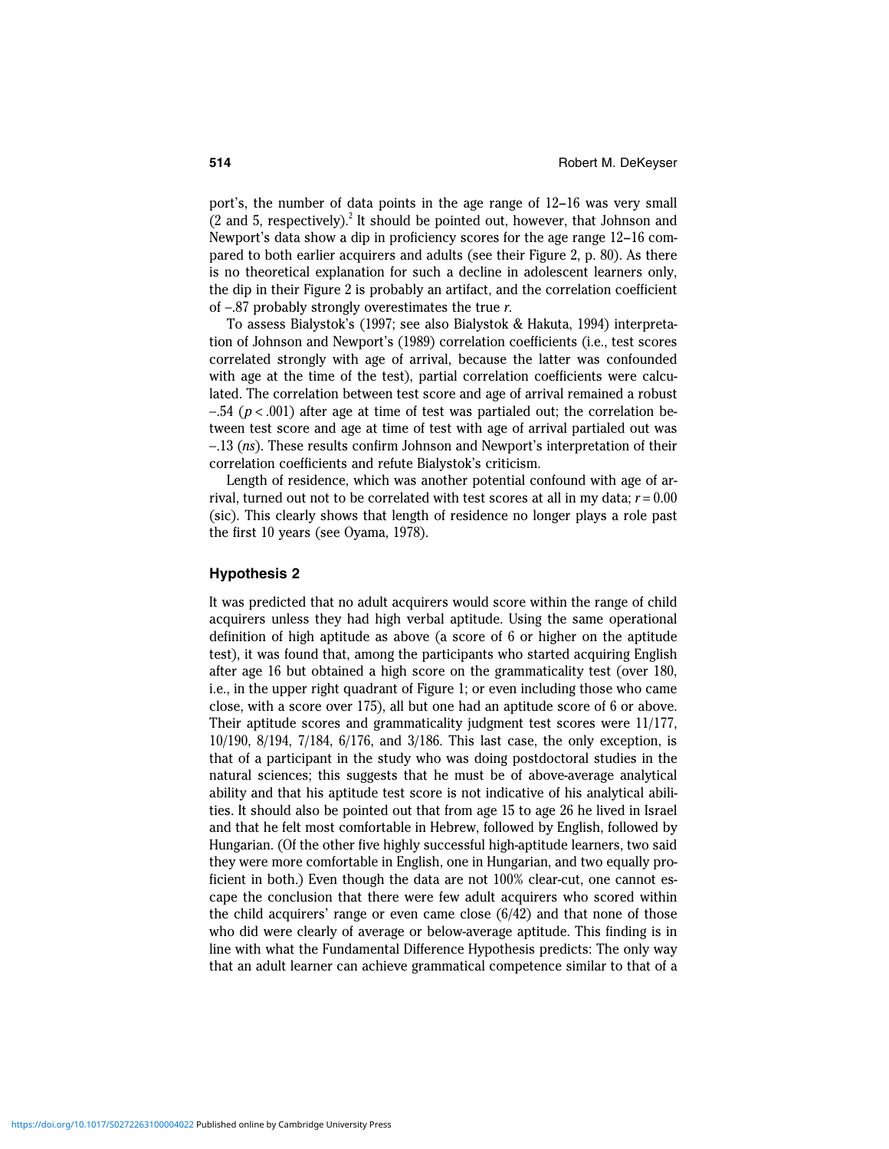port's, the number of data points in the age range of 12–16 was very small  $(2 \text{ and } 5, \text{ respectively})$ . It should be pointed out, however, that Johnson and Newport's data show a dip in proficiency scores for the age range 12–16 compared to both earlier acquirers and adults (see their Figure 2, p. 80). As there is no theoretical explanation for such a decline in adolescent learners only, the dip in their Figure 2 is probably an artifact, and the correlation coefficient of −.87 probably strongly overestimates the true *r*.

To assess Bialystok's (1997; see also Bialystok & Hakuta, 1994) interpretation of Johnson and Newport's (1989) correlation coefficients (i.e., test scores correlated strongly with age of arrival, because the latter was confounded with age at the time of the test), partial correlation coefficients were calculated. The correlation between test score and age of arrival remained a robust −.54 (*p* < .001) after age at time of test was partialed out; the correlation between test score and age at time of test with age of arrival partialed out was −.13 (*ns*). These results confirm Johnson and Newport's interpretation of their correlation coefficients and refute Bialystok's criticism.

Length of residence, which was another potential confound with age of arrival, turned out not to be correlated with test scores at all in my data;  $r = 0.00$ (sic). This clearly shows that length of residence no longer plays a role past the first 10 years (see Oyama, 1978).

#### **Hypothesis 2**

It was predicted that no adult acquirers would score within the range of child acquirers unless they had high verbal aptitude. Using the same operational definition of high aptitude as above (a score of 6 or higher on the aptitude test), it was found that, among the participants who started acquiring English after age 16 but obtained a high score on the grammaticality test (over 180, i.e., in the upper right quadrant of Figure 1; or even including those who came close, with a score over 175), all but one had an aptitude score of 6 or above. Their aptitude scores and grammaticality judgment test scores were 11/177, 10/190, 8/194, 7/184, 6/176, and 3/186. This last case, the only exception, is that of a participant in the study who was doing postdoctoral studies in the natural sciences; this suggests that he must be of above-average analytical ability and that his aptitude test score is not indicative of his analytical abilities. It should also be pointed out that from age 15 to age 26 he lived in Israel and that he felt most comfortable in Hebrew, followed by English, followed by Hungarian. (Of the other five highly successful high-aptitude learners, two said they were more comfortable in English, one in Hungarian, and two equally proficient in both.) Even though the data are not 100% clear-cut, one cannot escape the conclusion that there were few adult acquirers who scored within the child acquirers' range or even came close (6/42) and that none of those who did were clearly of average or below-average aptitude. This finding is in line with what the Fundamental Difference Hypothesis predicts: The only way that an adult learner can achieve grammatical competence similar to that of a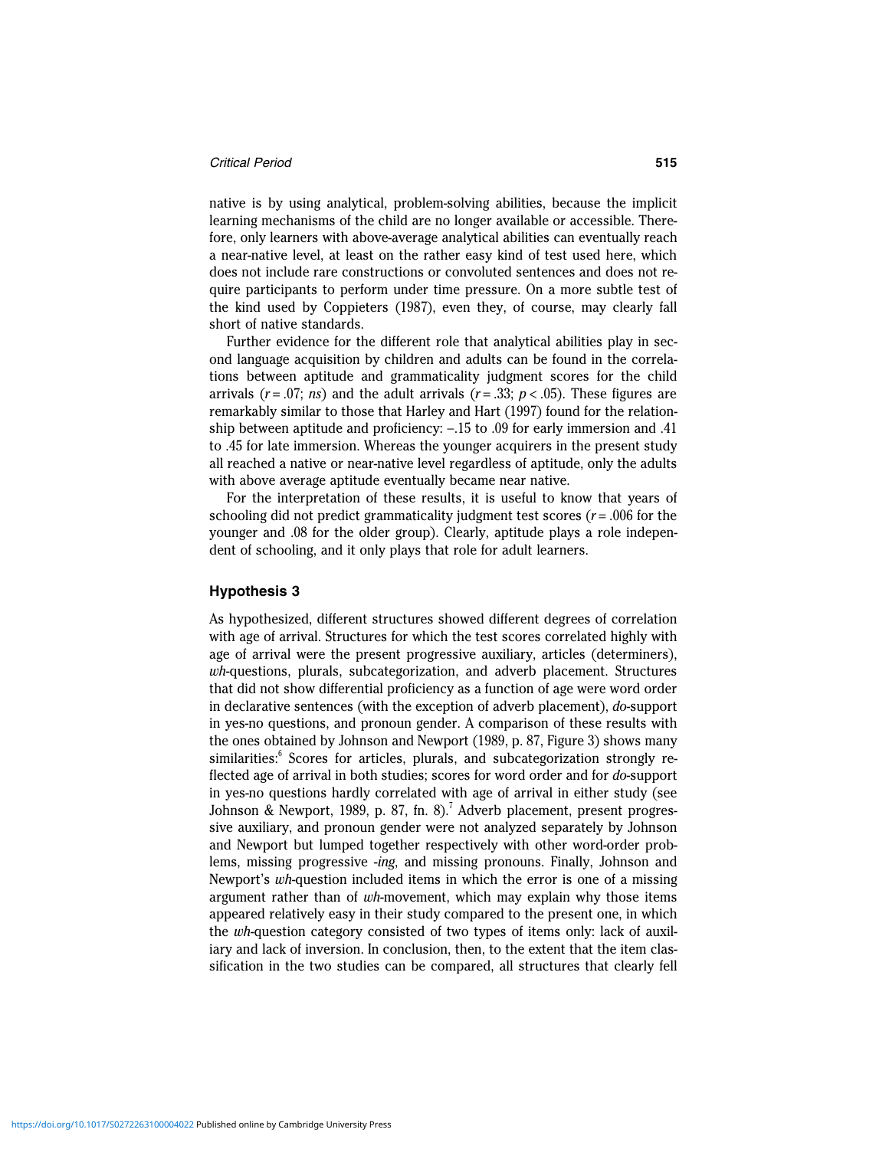native is by using analytical, problem-solving abilities, because the implicit learning mechanisms of the child are no longer available or accessible. Therefore, only learners with above-average analytical abilities can eventually reach a near-native level, at least on the rather easy kind of test used here, which does not include rare constructions or convoluted sentences and does not require participants to perform under time pressure. On a more subtle test of the kind used by Coppieters (1987), even they, of course, may clearly fall short of native standards.

Further evidence for the different role that analytical abilities play in second language acquisition by children and adults can be found in the correlations between aptitude and grammaticality judgment scores for the child arrivals  $(r = .07; ns)$  and the adult arrivals  $(r = .33; p < .05)$ . These figures are remarkably similar to those that Harley and Hart (1997) found for the relationship between aptitude and proficiency: −.15 to .09 for early immersion and .41 to .45 for late immersion. Whereas the younger acquirers in the present study all reached a native or near-native level regardless of aptitude, only the adults with above average aptitude eventually became near native.

For the interpretation of these results, it is useful to know that years of schooling did not predict grammaticality judgment test scores  $(r = .006$  for the younger and .08 for the older group). Clearly, aptitude plays a role independent of schooling, and it only plays that role for adult learners.

## **Hypothesis 3**

As hypothesized, different structures showed different degrees of correlation with age of arrival. Structures for which the test scores correlated highly with age of arrival were the present progressive auxiliary, articles (determiners), *wh*-questions, plurals, subcategorization, and adverb placement. Structures that did not show differential proficiency as a function of age were word order in declarative sentences (with the exception of adverb placement), *do*-support in yes-no questions, and pronoun gender. A comparison of these results with the ones obtained by Johnson and Newport (1989, p. 87, Figure 3) shows many similarities:<sup>6</sup> Scores for articles, plurals, and subcategorization strongly reflected age of arrival in both studies; scores for word order and for *do*-support in yes-no questions hardly correlated with age of arrival in either study (see Johnson & Newport, 1989, p. 87, fn. 8).<sup>7</sup> Adverb placement, present progressive auxiliary, and pronoun gender were not analyzed separately by Johnson and Newport but lumped together respectively with other word-order problems, missing progressive -*ing*, and missing pronouns. Finally, Johnson and Newport's *wh*-question included items in which the error is one of a missing argument rather than of *wh*-movement, which may explain why those items appeared relatively easy in their study compared to the present one, in which the *wh*-question category consisted of two types of items only: lack of auxiliary and lack of inversion. In conclusion, then, to the extent that the item classification in the two studies can be compared, all structures that clearly fell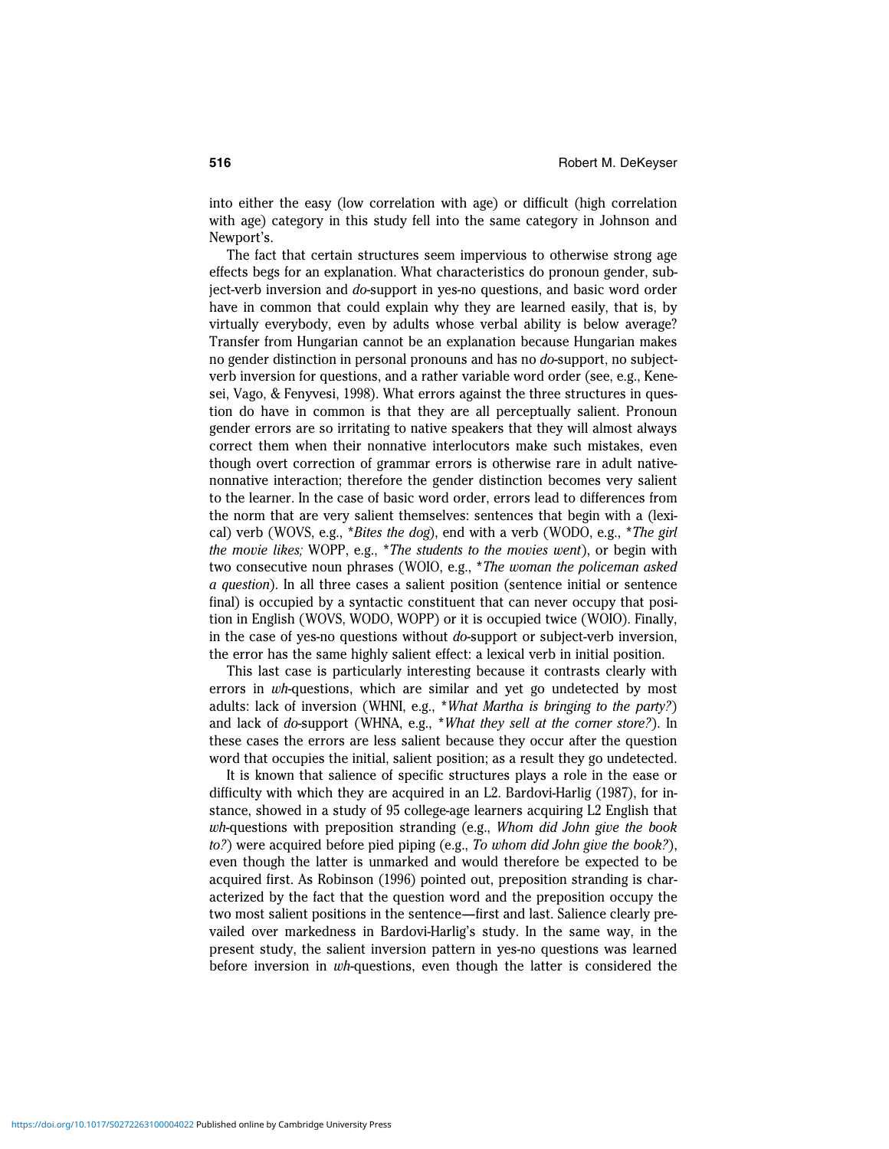into either the easy (low correlation with age) or difficult (high correlation with age) category in this study fell into the same category in Johnson and Newport's.

The fact that certain structures seem impervious to otherwise strong age effects begs for an explanation. What characteristics do pronoun gender, subject-verb inversion and *do*-support in yes-no questions, and basic word order have in common that could explain why they are learned easily, that is, by virtually everybody, even by adults whose verbal ability is below average? Transfer from Hungarian cannot be an explanation because Hungarian makes no gender distinction in personal pronouns and has no *do*-support, no subjectverb inversion for questions, and a rather variable word order (see, e.g., Kenesei, Vago, & Fenyvesi, 1998). What errors against the three structures in question do have in common is that they are all perceptually salient. Pronoun gender errors are so irritating to native speakers that they will almost always correct them when their nonnative interlocutors make such mistakes, even though overt correction of grammar errors is otherwise rare in adult nativenonnative interaction; therefore the gender distinction becomes very salient to the learner. In the case of basic word order, errors lead to differences from the norm that are very salient themselves: sentences that begin with a (lexical) verb (WOVS, e.g., \**Bites the dog*), end with a verb (WODO, e.g., \**The girl the movie likes;* WOPP, e.g., \**The students to the movies went*), or begin with two consecutive noun phrases (WOIO, e.g., \**The woman the policeman asked a question*). In all three cases a salient position (sentence initial or sentence final) is occupied by a syntactic constituent that can never occupy that position in English (WOVS, WODO, WOPP) or it is occupied twice (WOIO). Finally, in the case of yes-no questions without *do*-support or subject-verb inversion, the error has the same highly salient effect: a lexical verb in initial position.

This last case is particularly interesting because it contrasts clearly with errors in *wh*-questions, which are similar and yet go undetected by most adults: lack of inversion (WHNI, e.g., \**What Martha is bringing to the party?*) and lack of *do*-support (WHNA, e.g., \**What they sell at the corner store?*). In these cases the errors are less salient because they occur after the question word that occupies the initial, salient position; as a result they go undetected.

It is known that salience of specific structures plays a role in the ease or difficulty with which they are acquired in an L2. Bardovi-Harlig (1987), for instance, showed in a study of 95 college-age learners acquiring L2 English that *wh*-questions with preposition stranding (e.g., *Whom did John give the book to?*) were acquired before pied piping (e.g., *To whom did John give the book?*), even though the latter is unmarked and would therefore be expected to be acquired first. As Robinson (1996) pointed out, preposition stranding is characterized by the fact that the question word and the preposition occupy the two most salient positions in the sentence—first and last. Salience clearly prevailed over markedness in Bardovi-Harlig's study. In the same way, in the present study, the salient inversion pattern in yes-no questions was learned before inversion in *wh*-questions, even though the latter is considered the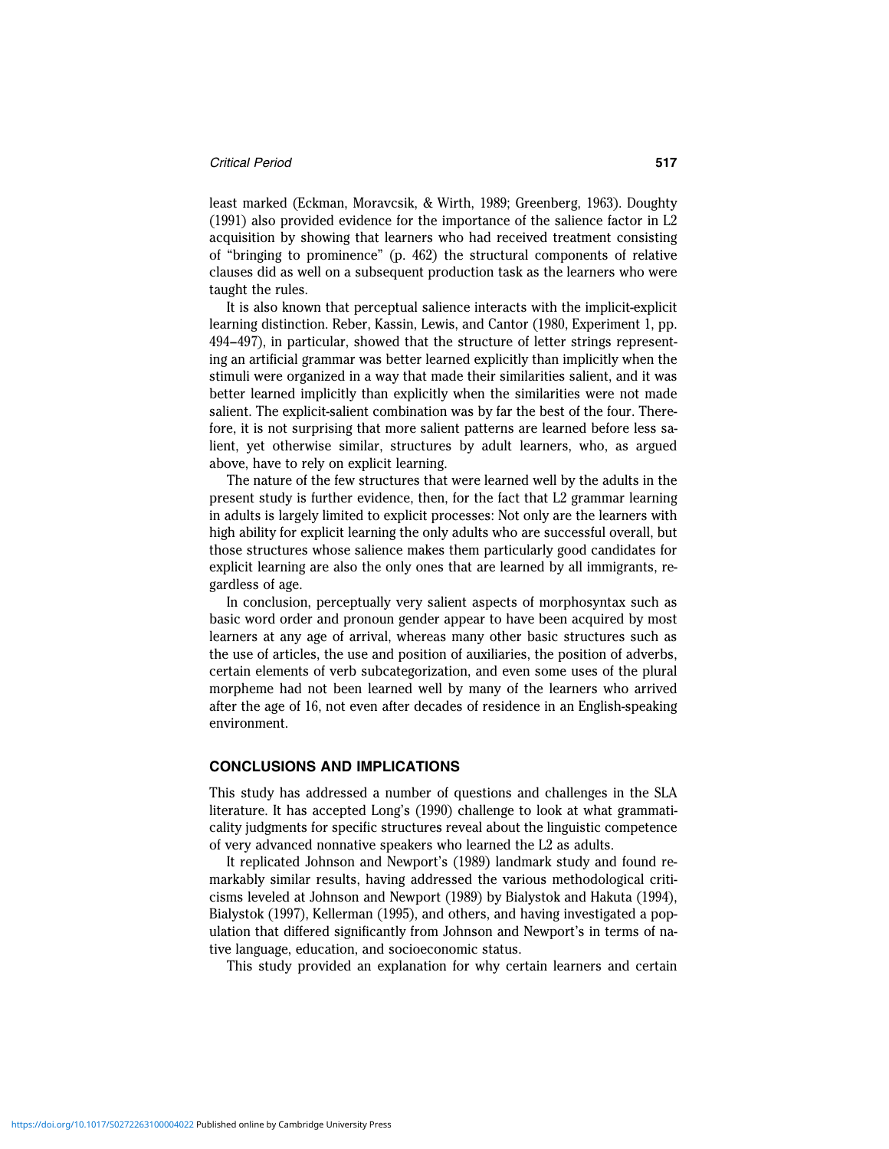least marked (Eckman, Moravcsik, & Wirth, 1989; Greenberg, 1963). Doughty (1991) also provided evidence for the importance of the salience factor in L2 acquisition by showing that learners who had received treatment consisting of "bringing to prominence" (p. 462) the structural components of relative clauses did as well on a subsequent production task as the learners who were taught the rules.

It is also known that perceptual salience interacts with the implicit-explicit learning distinction. Reber, Kassin, Lewis, and Cantor (1980, Experiment 1, pp. 494–497), in particular, showed that the structure of letter strings representing an artificial grammar was better learned explicitly than implicitly when the stimuli were organized in a way that made their similarities salient, and it was better learned implicitly than explicitly when the similarities were not made salient. The explicit-salient combination was by far the best of the four. Therefore, it is not surprising that more salient patterns are learned before less salient, yet otherwise similar, structures by adult learners, who, as argued above, have to rely on explicit learning.

The nature of the few structures that were learned well by the adults in the present study is further evidence, then, for the fact that L2 grammar learning in adults is largely limited to explicit processes: Not only are the learners with high ability for explicit learning the only adults who are successful overall, but those structures whose salience makes them particularly good candidates for explicit learning are also the only ones that are learned by all immigrants, regardless of age.

In conclusion, perceptually very salient aspects of morphosyntax such as basic word order and pronoun gender appear to have been acquired by most learners at any age of arrival, whereas many other basic structures such as the use of articles, the use and position of auxiliaries, the position of adverbs, certain elements of verb subcategorization, and even some uses of the plural morpheme had not been learned well by many of the learners who arrived after the age of 16, not even after decades of residence in an English-speaking environment.

# **CONCLUSIONS AND IMPLICATIONS**

This study has addressed a number of questions and challenges in the SLA literature. It has accepted Long's (1990) challenge to look at what grammaticality judgments for specific structures reveal about the linguistic competence of very advanced nonnative speakers who learned the L2 as adults.

It replicated Johnson and Newport's (1989) landmark study and found remarkably similar results, having addressed the various methodological criticisms leveled at Johnson and Newport (1989) by Bialystok and Hakuta (1994), Bialystok (1997), Kellerman (1995), and others, and having investigated a population that differed significantly from Johnson and Newport's in terms of native language, education, and socioeconomic status.

This study provided an explanation for why certain learners and certain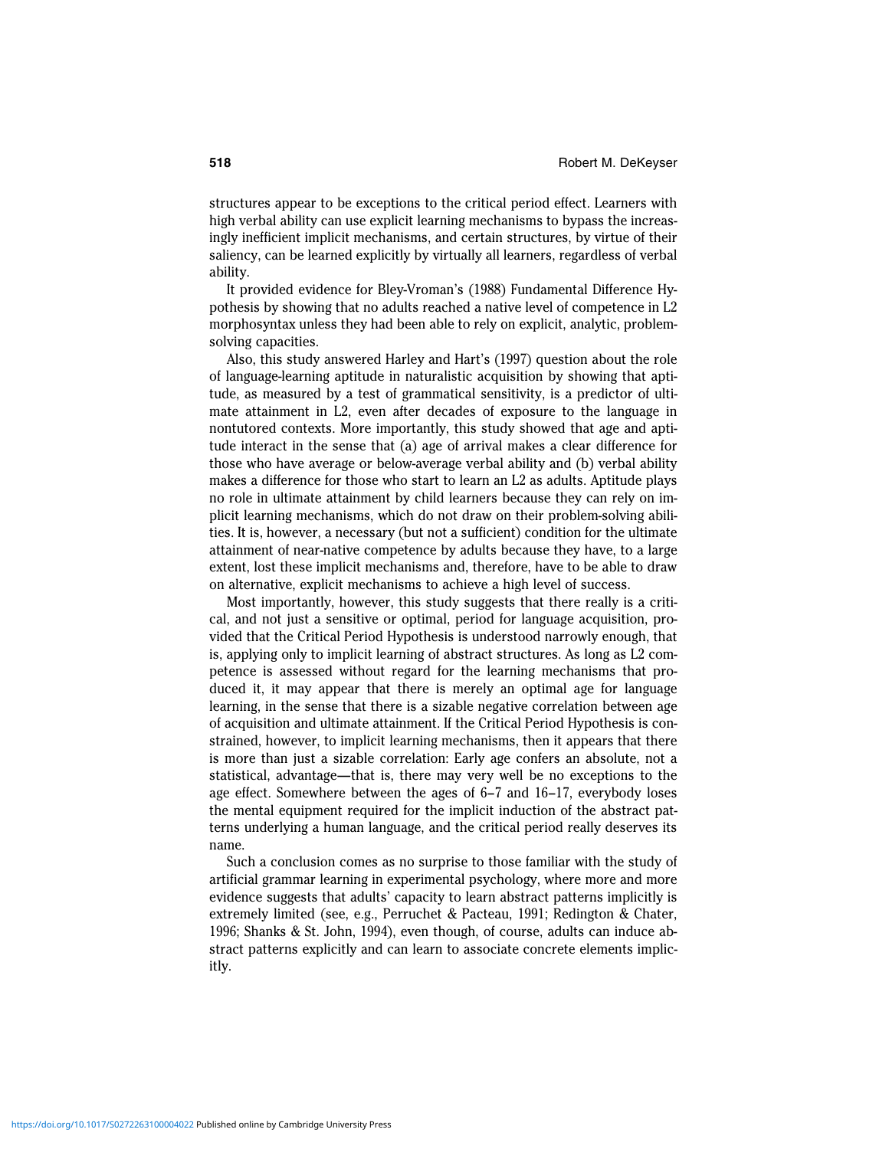structures appear to be exceptions to the critical period effect. Learners with high verbal ability can use explicit learning mechanisms to bypass the increasingly inefficient implicit mechanisms, and certain structures, by virtue of their saliency, can be learned explicitly by virtually all learners, regardless of verbal ability.

It provided evidence for Bley-Vroman's (1988) Fundamental Difference Hypothesis by showing that no adults reached a native level of competence in L2 morphosyntax unless they had been able to rely on explicit, analytic, problemsolving capacities.

Also, this study answered Harley and Hart's (1997) question about the role of language-learning aptitude in naturalistic acquisition by showing that aptitude, as measured by a test of grammatical sensitivity, is a predictor of ultimate attainment in L2, even after decades of exposure to the language in nontutored contexts. More importantly, this study showed that age and aptitude interact in the sense that (a) age of arrival makes a clear difference for those who have average or below-average verbal ability and (b) verbal ability makes a difference for those who start to learn an L2 as adults. Aptitude plays no role in ultimate attainment by child learners because they can rely on implicit learning mechanisms, which do not draw on their problem-solving abilities. It is, however, a necessary (but not a sufficient) condition for the ultimate attainment of near-native competence by adults because they have, to a large extent, lost these implicit mechanisms and, therefore, have to be able to draw on alternative, explicit mechanisms to achieve a high level of success.

Most importantly, however, this study suggests that there really is a critical, and not just a sensitive or optimal, period for language acquisition, provided that the Critical Period Hypothesis is understood narrowly enough, that is, applying only to implicit learning of abstract structures. As long as L2 competence is assessed without regard for the learning mechanisms that produced it, it may appear that there is merely an optimal age for language learning, in the sense that there is a sizable negative correlation between age of acquisition and ultimate attainment. If the Critical Period Hypothesis is constrained, however, to implicit learning mechanisms, then it appears that there is more than just a sizable correlation: Early age confers an absolute, not a statistical, advantage—that is, there may very well be no exceptions to the age effect. Somewhere between the ages of 6–7 and 16–17, everybody loses the mental equipment required for the implicit induction of the abstract patterns underlying a human language, and the critical period really deserves its name.

Such a conclusion comes as no surprise to those familiar with the study of artificial grammar learning in experimental psychology, where more and more evidence suggests that adults' capacity to learn abstract patterns implicitly is extremely limited (see, e.g., Perruchet & Pacteau, 1991; Redington & Chater, 1996; Shanks & St. John, 1994), even though, of course, adults can induce abstract patterns explicitly and can learn to associate concrete elements implicitly.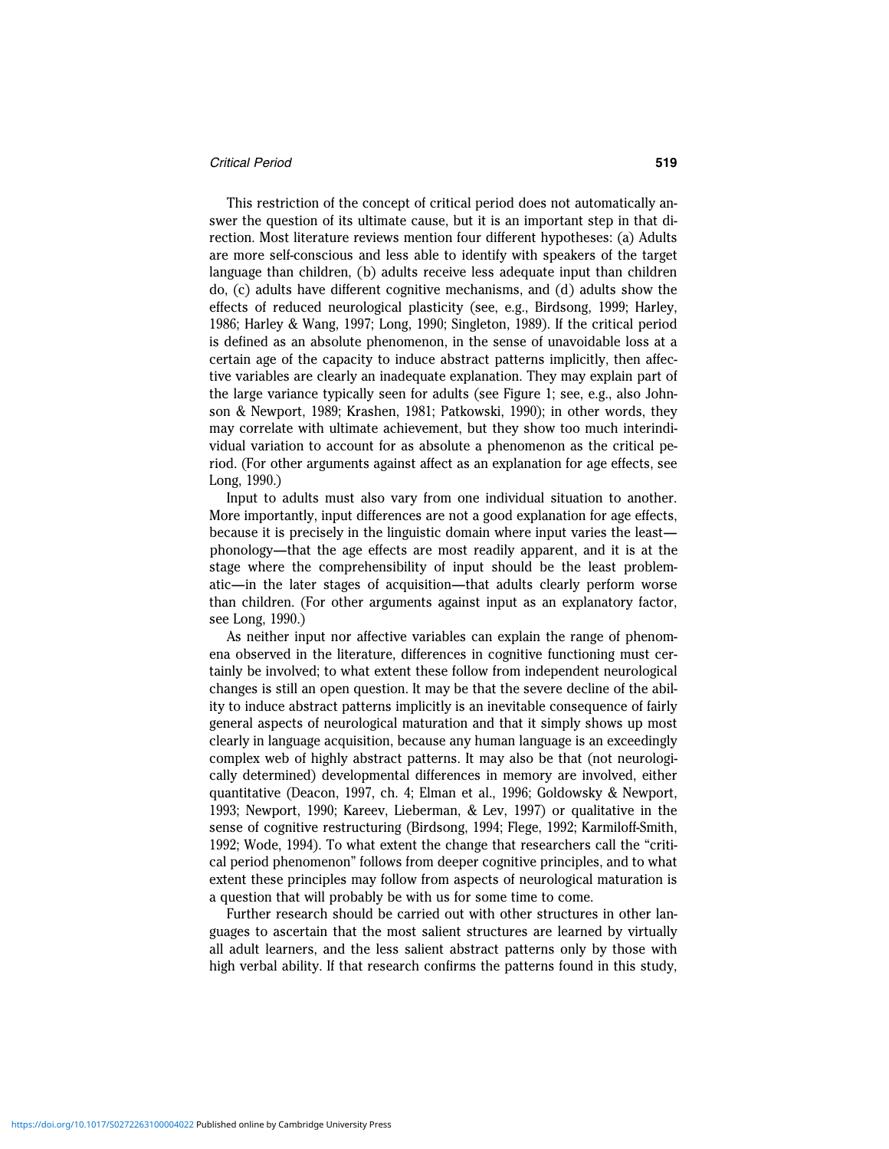This restriction of the concept of critical period does not automatically answer the question of its ultimate cause, but it is an important step in that direction. Most literature reviews mention four different hypotheses: (a) Adults are more self-conscious and less able to identify with speakers of the target language than children, (b) adults receive less adequate input than children do, (c) adults have different cognitive mechanisms, and (d) adults show the effects of reduced neurological plasticity (see, e.g., Birdsong, 1999; Harley, 1986; Harley & Wang, 1997; Long, 1990; Singleton, 1989). If the critical period is defined as an absolute phenomenon, in the sense of unavoidable loss at a certain age of the capacity to induce abstract patterns implicitly, then affective variables are clearly an inadequate explanation. They may explain part of the large variance typically seen for adults (see Figure 1; see, e.g., also Johnson & Newport, 1989; Krashen, 1981; Patkowski, 1990); in other words, they may correlate with ultimate achievement, but they show too much interindividual variation to account for as absolute a phenomenon as the critical period. (For other arguments against affect as an explanation for age effects, see Long, 1990.)

Input to adults must also vary from one individual situation to another. More importantly, input differences are not a good explanation for age effects, because it is precisely in the linguistic domain where input varies the least phonology—that the age effects are most readily apparent, and it is at the stage where the comprehensibility of input should be the least problematic—in the later stages of acquisition—that adults clearly perform worse than children. (For other arguments against input as an explanatory factor, see Long, 1990.)

As neither input nor affective variables can explain the range of phenomena observed in the literature, differences in cognitive functioning must certainly be involved; to what extent these follow from independent neurological changes is still an open question. It may be that the severe decline of the ability to induce abstract patterns implicitly is an inevitable consequence of fairly general aspects of neurological maturation and that it simply shows up most clearly in language acquisition, because any human language is an exceedingly complex web of highly abstract patterns. It may also be that (not neurologically determined) developmental differences in memory are involved, either quantitative (Deacon, 1997, ch. 4; Elman et al., 1996; Goldowsky & Newport, 1993; Newport, 1990; Kareev, Lieberman, & Lev, 1997) or qualitative in the sense of cognitive restructuring (Birdsong, 1994; Flege, 1992; Karmiloff-Smith, 1992; Wode, 1994). To what extent the change that researchers call the "critical period phenomenon" follows from deeper cognitive principles, and to what extent these principles may follow from aspects of neurological maturation is a question that will probably be with us for some time to come.

Further research should be carried out with other structures in other languages to ascertain that the most salient structures are learned by virtually all adult learners, and the less salient abstract patterns only by those with high verbal ability. If that research confirms the patterns found in this study,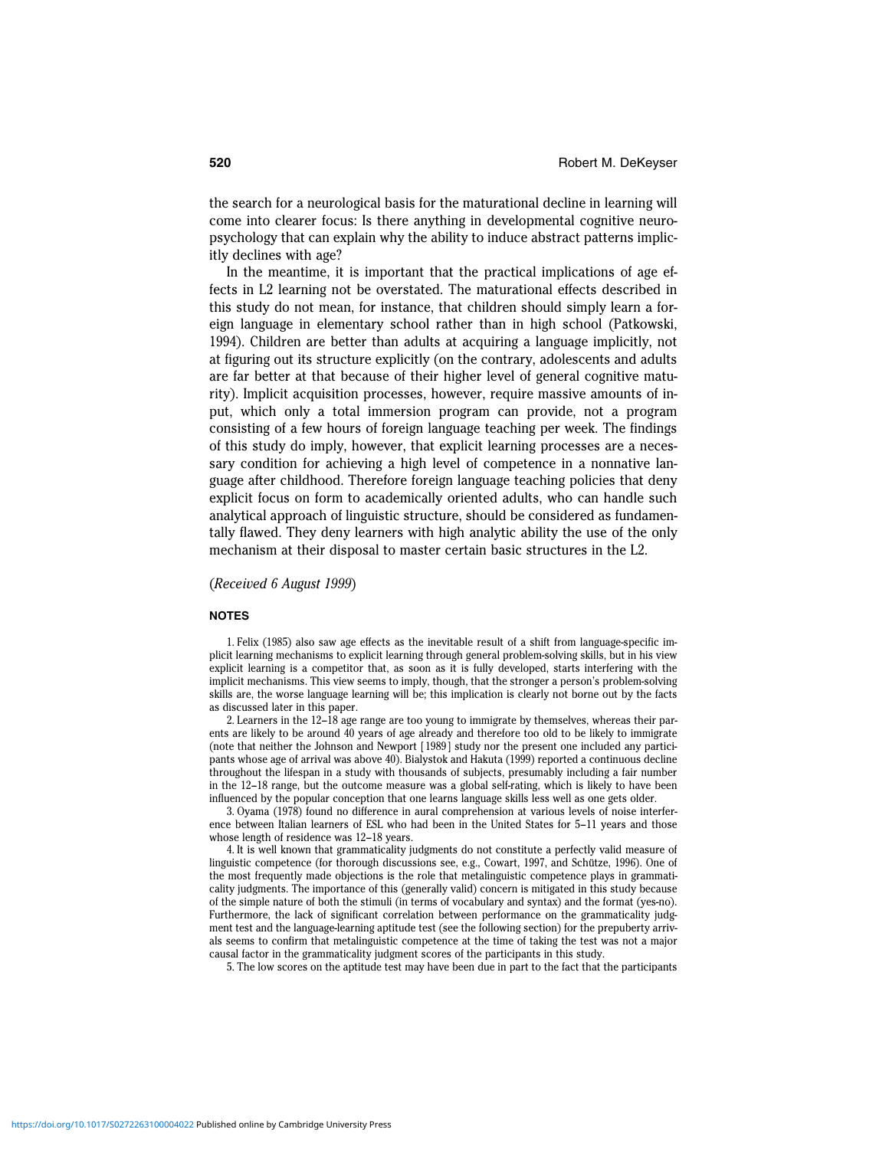the search for a neurological basis for the maturational decline in learning will come into clearer focus: Is there anything in developmental cognitive neuropsychology that can explain why the ability to induce abstract patterns implicitly declines with age?

In the meantime, it is important that the practical implications of age effects in L2 learning not be overstated. The maturational effects described in this study do not mean, for instance, that children should simply learn a foreign language in elementary school rather than in high school (Patkowski, 1994). Children are better than adults at acquiring a language implicitly, not at figuring out its structure explicitly (on the contrary, adolescents and adults are far better at that because of their higher level of general cognitive maturity). Implicit acquisition processes, however, require massive amounts of input, which only a total immersion program can provide, not a program consisting of a few hours of foreign language teaching per week. The findings of this study do imply, however, that explicit learning processes are a necessary condition for achieving a high level of competence in a nonnative language after childhood. Therefore foreign language teaching policies that deny explicit focus on form to academically oriented adults, who can handle such analytical approach of linguistic structure, should be considered as fundamentally flawed. They deny learners with high analytic ability the use of the only mechanism at their disposal to master certain basic structures in the L2.

(*Received 6 August 1999*)

#### **NOTES**

1. Felix (1985) also saw age effects as the inevitable result of a shift from language-specific implicit learning mechanisms to explicit learning through general problem-solving skills, but in his view explicit learning is a competitor that, as soon as it is fully developed, starts interfering with the implicit mechanisms. This view seems to imply, though, that the stronger a person's problem-solving skills are, the worse language learning will be; this implication is clearly not borne out by the facts as discussed later in this paper.

2. Learners in the 12–18 age range are too young to immigrate by themselves, whereas their parents are likely to be around 40 years of age already and therefore too old to be likely to immigrate (note that neither the Johnson and Newport [1989] study nor the present one included any participants whose age of arrival was above 40). Bialystok and Hakuta (1999) reported a continuous decline throughout the lifespan in a study with thousands of subjects, presumably including a fair number in the 12–18 range, but the outcome measure was a global self-rating, which is likely to have been influenced by the popular conception that one learns language skills less well as one gets older.

3. Oyama (1978) found no difference in aural comprehension at various levels of noise interference between Italian learners of ESL who had been in the United States for 5–11 years and those whose length of residence was 12–18 years.

4. It is well known that grammaticality judgments do not constitute a perfectly valid measure of linguistic competence (for thorough discussions see, e.g., Cowart, 1997, and Schütze, 1996). One of the most frequently made objections is the role that metalinguistic competence plays in grammaticality judgments. The importance of this (generally valid) concern is mitigated in this study because of the simple nature of both the stimuli (in terms of vocabulary and syntax) and the format (yes-no). Furthermore, the lack of significant correlation between performance on the grammaticality judgment test and the language-learning aptitude test (see the following section) for the prepuberty arrivals seems to confirm that metalinguistic competence at the time of taking the test was not a major causal factor in the grammaticality judgment scores of the participants in this study.

5. The low scores on the aptitude test may have been due in part to the fact that the participants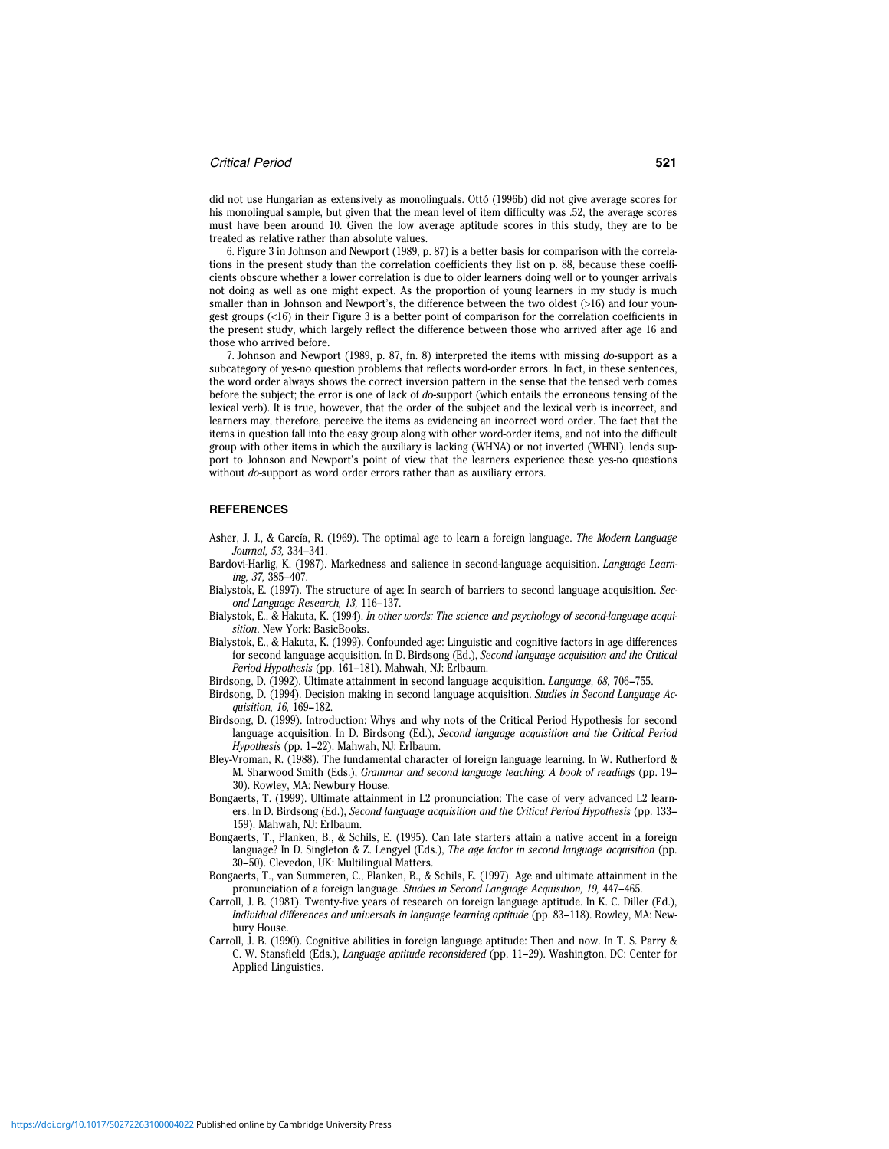did not use Hungarian as extensively as monolinguals. Ottó (1996b) did not give average scores for his monolingual sample, but given that the mean level of item difficulty was .52, the average scores must have been around 10. Given the low average aptitude scores in this study, they are to be treated as relative rather than absolute values.

6. Figure 3 in Johnson and Newport (1989, p. 87) is a better basis for comparison with the correlations in the present study than the correlation coefficients they list on p. 88, because these coefficients obscure whether a lower correlation is due to older learners doing well or to younger arrivals not doing as well as one might expect. As the proportion of young learners in my study is much smaller than in Johnson and Newport's, the difference between the two oldest (>16) and four youngest groups (<16) in their Figure 3 is a better point of comparison for the correlation coefficients in the present study, which largely reflect the difference between those who arrived after age 16 and those who arrived before.

7. Johnson and Newport (1989, p. 87, fn. 8) interpreted the items with missing *do*-support as a subcategory of yes-no question problems that reflects word-order errors. In fact, in these sentences, the word order always shows the correct inversion pattern in the sense that the tensed verb comes before the subject; the error is one of lack of *do*-support (which entails the erroneous tensing of the lexical verb). It is true, however, that the order of the subject and the lexical verb is incorrect, and learners may, therefore, perceive the items as evidencing an incorrect word order. The fact that the items in question fall into the easy group along with other word-order items, and not into the difficult group with other items in which the auxiliary is lacking (WHNA) or not inverted (WHNI), lends support to Johnson and Newport's point of view that the learners experience these yes-no questions without *do*-support as word order errors rather than as auxiliary errors.

#### **REFERENCES**

- Asher, J. J., & García, R. (1969). The optimal age to learn a foreign language. *The Modern Language Journal, 53,* 334–341.
- Bardovi-Harlig, K. (1987). Markedness and salience in second-language acquisition. *Language Learning, 37,* 385–407.
- Bialystok, E. (1997). The structure of age: In search of barriers to second language acquisition. *Second Language Research, 13,* 116–137.
- Bialystok, E., & Hakuta, K. (1994). *In other words: The science and psychology of second-language acquisition*. New York: BasicBooks.
- Bialystok, E., & Hakuta, K. (1999). Confounded age: Linguistic and cognitive factors in age differences for second language acquisition. In D. Birdsong (Ed.), *Second language acquisition and the Critical Period Hypothesis* (pp. 161–181). Mahwah, NJ: Erlbaum.
- Birdsong, D. (1992). Ultimate attainment in second language acquisition. *Language, 68,* 706–755.
- Birdsong, D. (1994). Decision making in second language acquisition. *Studies in Second Language Acquisition, 16,* 169–182.
- Birdsong, D. (1999). Introduction: Whys and why nots of the Critical Period Hypothesis for second language acquisition. In D. Birdsong (Ed.), *Second language acquisition and the Critical Period Hypothesis* (pp. 1–22). Mahwah, NJ: Erlbaum.
- Bley-Vroman, R. (1988). The fundamental character of foreign language learning. In W. Rutherford & M. Sharwood Smith (Eds.), *Grammar and second language teaching: A book of readings* (pp. 19– 30). Rowley, MA: Newbury House.
- Bongaerts, T. (1999). Ultimate attainment in L2 pronunciation: The case of very advanced L2 learners. In D. Birdsong (Ed.), *Second language acquisition and the Critical Period Hypothesis* (pp. 133– 159). Mahwah, NJ: Erlbaum.
- Bongaerts, T., Planken, B., & Schils, E. (1995). Can late starters attain a native accent in a foreign language? In D. Singleton & Z. Lengyel (Eds.), *The age factor in second language acquisition* (pp. 30–50). Clevedon, UK: Multilingual Matters.
- Bongaerts, T., van Summeren, C., Planken, B., & Schils, E. (1997). Age and ultimate attainment in the pronunciation of a foreign language. *Studies in Second Language Acquisition, 19,* 447–465.
- Carroll, J. B. (1981). Twenty-five years of research on foreign language aptitude. In K. C. Diller (Ed.), *Individual differences and universals in language learning aptitude* (pp. 83–118). Rowley, MA: Newbury House.
- Carroll, J. B. (1990). Cognitive abilities in foreign language aptitude: Then and now. In T. S. Parry & C. W. Stansfield (Eds.), *Language aptitude reconsidered* (pp. 11–29). Washington, DC: Center for Applied Linguistics.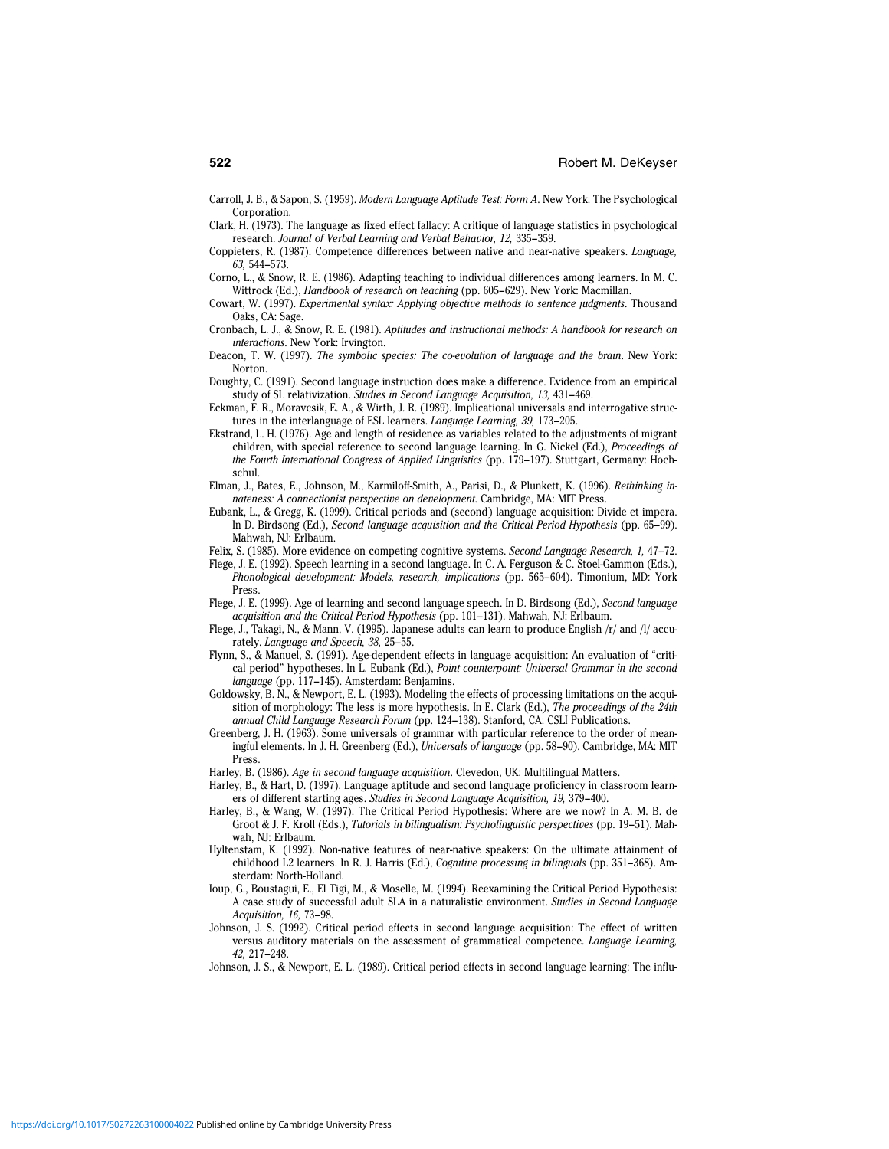Carroll, J. B., & Sapon, S. (1959). *Modern Language Aptitude Test: Form A*. New York: The Psychological **Corporation** 

Clark, H. (1973). The language as fixed effect fallacy: A critique of language statistics in psychological research. *Journal of Verbal Learning and Verbal Behavior, 12,* 335–359.

- Coppieters, R. (1987). Competence differences between native and near-native speakers. *Language, 63,* 544–573.
- Corno, L., & Snow, R. E. (1986). Adapting teaching to individual differences among learners. In M. C. Wittrock (Ed.), *Handbook of research on teaching* (pp. 605–629). New York: Macmillan.
- Cowart, W. (1997). *Experimental syntax: Applying objective methods to sentence judgments*. Thousand Oaks, CA: Sage.
- Cronbach, L. J., & Snow, R. E. (1981). *Aptitudes and instructional methods: A handbook for research on interactions*. New York: Irvington.
- Deacon, T. W. (1997). *The symbolic species: The co-evolution of language and the brain*. New York: Norton.
- Doughty, C. (1991). Second language instruction does make a difference. Evidence from an empirical study of SL relativization. *Studies in Second Language Acquisition, 13,* 431–469.
- Eckman, F. R., Moravcsik, E. A., & Wirth, J. R. (1989). Implicational universals and interrogative structures in the interlanguage of ESL learners. *Language Learning, 39,* 173–205.
- Ekstrand, L. H. (1976). Age and length of residence as variables related to the adjustments of migrant children, with special reference to second language learning. In G. Nickel (Ed.), *Proceedings of the Fourth International Congress of Applied Linguistics* (pp. 179–197). Stuttgart, Germany: Hochschul.
- Elman, J., Bates, E., Johnson, M., Karmiloff-Smith, A., Parisi, D., & Plunkett, K. (1996). *Rethinking innateness: A connectionist perspective on development*. Cambridge, MA: MIT Press.
- Eubank, L., & Gregg, K. (1999). Critical periods and (second) language acquisition: Divide et impera. In D. Birdsong (Ed.), *Second language acquisition and the Critical Period Hypothesis* (pp. 65–99). Mahwah, NJ: Erlbaum.
- Felix, S. (1985). More evidence on competing cognitive systems. *Second Language Research, 1,* 47–72.
- Flege, J. E. (1992). Speech learning in a second language. In C. A. Ferguson & C. Stoel-Gammon (Eds.), *Phonological development: Models, research, implications* (pp. 565–604). Timonium, MD: York Press.
- Flege, J. E. (1999). Age of learning and second language speech. In D. Birdsong (Ed.), *Second language acquisition and the Critical Period Hypothesis* (pp. 101–131). Mahwah, NJ: Erlbaum.
- Flege, J., Takagi, N., & Mann, V. (1995). Japanese adults can learn to produce English /r/ and /l/ accurately. *Language and Speech, 38,* 25–55.
- Flynn, S., & Manuel, S. (1991). Age-dependent effects in language acquisition: An evaluation of "critical period" hypotheses. In L. Eubank (Ed.), *Point counterpoint: Universal Grammar in the second language* (pp. 117–145). Amsterdam: Benjamins.
- Goldowsky, B. N., & Newport, E. L. (1993). Modeling the effects of processing limitations on the acquisition of morphology: The less is more hypothesis. In E. Clark (Ed.), *The proceedings of the 24th annual Child Language Research Forum* (pp. 124–138). Stanford, CA: CSLI Publications.
- Greenberg, J. H. (1963). Some universals of grammar with particular reference to the order of meaningful elements. In J. H. Greenberg (Ed.), *Universals of language* (pp. 58–90). Cambridge, MA: MIT Press.
- Harley, B. (1986). *Age in second language acquisition*. Clevedon, UK: Multilingual Matters.
- Harley, B., & Hart, D. (1997). Language aptitude and second language proficiency in classroom learners of different starting ages. *Studies in Second Language Acquisition, 19,* 379–400.
- Harley, B., & Wang, W. (1997). The Critical Period Hypothesis: Where are we now? In A. M. B. de Groot & J. F. Kroll (Eds.), *Tutorials in bilingualism: Psycholinguistic perspectives* (pp. 19–51). Mahwah, NJ: Erlbaum.
- Hyltenstam, K. (1992). Non-native features of near-native speakers: On the ultimate attainment of childhood L2 learners. In R. J. Harris (Ed.), *Cognitive processing in bilinguals* (pp. 351–368). Amsterdam: North-Holland.
- Ioup, G., Boustagui, E., El Tigi, M., & Moselle, M. (1994). Reexamining the Critical Period Hypothesis: A case study of successful adult SLA in a naturalistic environment. *Studies in Second Language Acquisition, 16,* 73–98.
- Johnson, J. S. (1992). Critical period effects in second language acquisition: The effect of written versus auditory materials on the assessment of grammatical competence. *Language Learning, 42,* 217–248.
- Johnson, J. S., & Newport, E. L. (1989). Critical period effects in second language learning: The influ-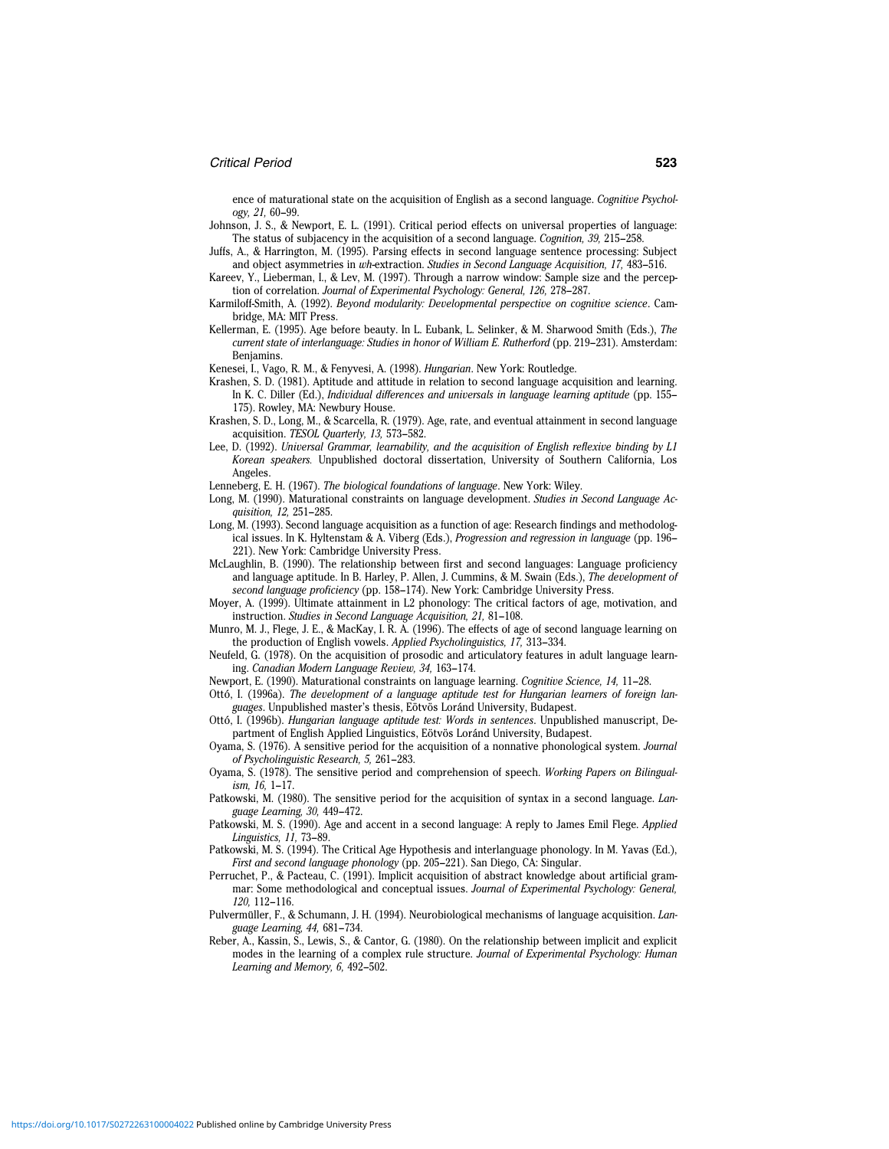ence of maturational state on the acquisition of English as a second language. *Cognitive Psychology, 21,* 60–99.

Johnson, J. S., & Newport, E. L. (1991). Critical period effects on universal properties of language: The status of subjacency in the acquisition of a second language. *Cognition, 39,* 215–258.

- Juffs, A., & Harrington, M. (1995). Parsing effects in second language sentence processing: Subject and object asymmetries in *wh*-extraction. *Studies in Second Language Acquisition, 17,* 483–516.
- Kareev, Y., Lieberman, I., & Lev, M. (1997). Through a narrow window: Sample size and the perception of correlation. *Journal of Experimental Psychology: General, 126,* 278–287.
- Karmiloff-Smith, A. (1992). *Beyond modularity: Developmental perspective on cognitive science*. Cambridge, MA: MIT Press.
- Kellerman, E. (1995). Age before beauty. In L. Eubank, L. Selinker, & M. Sharwood Smith (Eds.), *The current state of interlanguage: Studies in honor of William E. Rutherford* (pp. 219–231). Amsterdam: Benjamins.
- Kenesei, I., Vago, R. M., & Fenyvesi, A. (1998). *Hungarian*. New York: Routledge.
- Krashen, S. D. (1981). Aptitude and attitude in relation to second language acquisition and learning. In K. C. Diller (Ed.), *Individual differences and universals in language learning aptitude* (pp. 155– 175). Rowley, MA: Newbury House.
- Krashen, S. D., Long, M., & Scarcella, R. (1979). Age, rate, and eventual attainment in second language acquisition. *TESOL Quarterly, 13,* 573–582.
- Lee, D. (1992). *Universal Grammar, learnability, and the acquisition of English reflexive binding by L1 Korean speakers.* Unpublished doctoral dissertation, University of Southern California, Los Angeles.
- Lenneberg, E. H. (1967). *The biological foundations of language*. New York: Wiley.
- Long, M. (1990). Maturational constraints on language development. *Studies in Second Language Acquisition, 12,* 251–285.
- Long, M. (1993). Second language acquisition as a function of age: Research findings and methodological issues. In K. Hyltenstam & A. Viberg (Eds.), *Progression and regression in language* (pp. 196– 221). New York: Cambridge University Press.
- McLaughlin, B. (1990). The relationship between first and second languages: Language proficiency and language aptitude. In B. Harley, P. Allen, J. Cummins, & M. Swain (Eds.), *The development of second language proficiency* (pp. 158–174). New York: Cambridge University Press.
- Moyer, A. (1999). Ultimate attainment in L2 phonology: The critical factors of age, motivation, and instruction. *Studies in Second Language Acquisition, 21,* 81–108.
- Munro, M. J., Flege, J. E., & MacKay, I. R. A. (1996). The effects of age of second language learning on the production of English vowels. *Applied Psycholinguistics, 17,* 313–334.
- Neufeld, G. (1978). On the acquisition of prosodic and articulatory features in adult language learning. *Canadian Modern Language Review, 34,* 163–174.
- Newport, E. (1990). Maturational constraints on language learning. *Cognitive Science, 14,* 11–28.
- Otto´, I. (1996a). *The development of a language aptitude test for Hungarian learners of foreign lan*guages. Unpublished master's thesis, Eötvös Loránd University, Budapest.
- Otto´, I. (1996b). *Hungarian language aptitude test: Words in sentences*. Unpublished manuscript, Department of English Applied Linguistics, Eötvös Loránd University, Budapest.
- Oyama, S. (1976). A sensitive period for the acquisition of a nonnative phonological system. *Journal of Psycholinguistic Research, 5,* 261–283.
- Oyama, S. (1978). The sensitive period and comprehension of speech. *Working Papers on Bilingualism, 16,* 1–17.
- Patkowski, M. (1980). The sensitive period for the acquisition of syntax in a second language. *Language Learning, 30,* 449–472.
- Patkowski, M. S. (1990). Age and accent in a second language: A reply to James Emil Flege. *Applied Linguistics, 11,* 73–89.
- Patkowski, M. S. (1994). The Critical Age Hypothesis and interlanguage phonology. In M. Yavas (Ed.), *First and second language phonology* (pp. 205–221). San Diego, CA: Singular.
- Perruchet, P., & Pacteau, C. (1991). Implicit acquisition of abstract knowledge about artificial grammar: Some methodological and conceptual issues. *Journal of Experimental Psychology: General, 120,* 112–116.
- Pulvermüller, F., & Schumann, J. H. (1994). Neurobiological mechanisms of language acquisition. *Language Learning, 44,* 681–734.
- Reber, A., Kassin, S., Lewis, S., & Cantor, G. (1980). On the relationship between implicit and explicit modes in the learning of a complex rule structure. *Journal of Experimental Psychology: Human Learning and Memory, 6,* 492–502.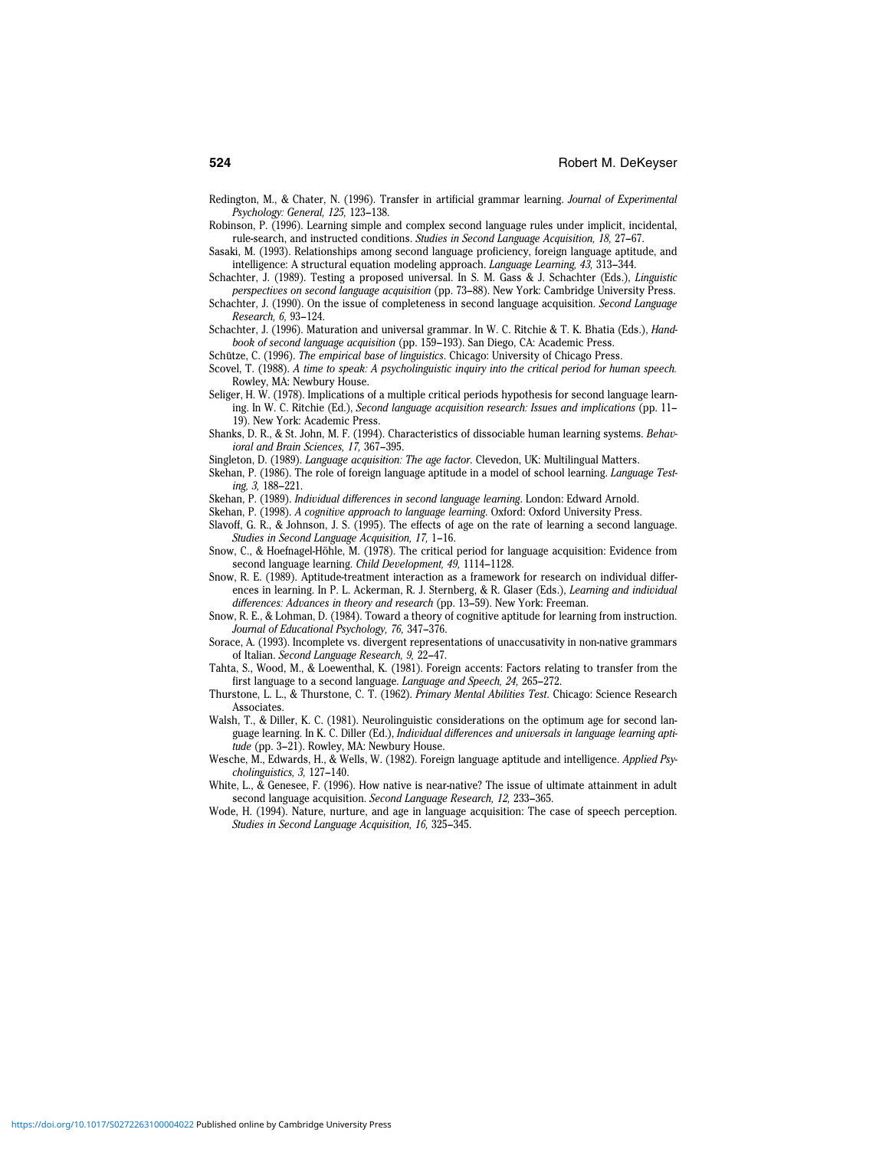Redington, M., & Chater, N. (1996). Transfer in artificial grammar learning. *Journal of Experimental Psychology: General, 125,* 123–138.

Robinson, P. (1996). Learning simple and complex second language rules under implicit, incidental, rule-search, and instructed conditions. *Studies in Second Language Acquisition, 18,* 27–67.

- Sasaki, M. (1993). Relationships among second language proficiency, foreign language aptitude, and intelligence: A structural equation modeling approach. *Language Learning, 43,* 313–344.
- Schachter, J. (1989). Testing a proposed universal. In S. M. Gass & J. Schachter (Eds.), *Linguistic perspectives on second language acquisition* (pp. 73–88). New York: Cambridge University Press.
- Schachter, J. (1990). On the issue of completeness in second language acquisition. *Second Language Research, 6,* 93–124.
- Schachter, J. (1996). Maturation and universal grammar. In W. C. Ritchie & T. K. Bhatia (Eds.), *Handbook of second language acquisition* (pp. 159–193). San Diego, CA: Academic Press.
- Schütze, C. (1996). *The empirical base of linguistics*. Chicago: University of Chicago Press.
- Scovel, T. (1988). *A time to speak: A psycholinguistic inquiry into the critical period for human speech.* Rowley, MA: Newbury House.
- Seliger, H. W. (1978). Implications of a multiple critical periods hypothesis for second language learning. In W. C. Ritchie (Ed.), *Second language acquisition research: Issues and implications* (pp. 11– 19). New York: Academic Press.
- Shanks, D. R., & St. John, M. F. (1994). Characteristics of dissociable human learning systems. *Behavioral and Brain Sciences, 17,* 367–395.
- Singleton, D. (1989). *Language acquisition: The age factor*. Clevedon, UK: Multilingual Matters.
- Skehan, P. (1986). The role of foreign language aptitude in a model of school learning. *Language Testing, 3,* 188–221.
- Skehan, P. (1989). *Individual differences in second language learning*. London: Edward Arnold.
- Skehan, P. (1998). *A cognitive approach to language learning*. Oxford: Oxford University Press.
- Slavoff, G. R., & Johnson, J. S. (1995). The effects of age on the rate of learning a second language. *Studies in Second Language Acquisition, 17,* 1–16.
- Snow, C., & Hoefnagel-Höhle, M. (1978). The critical period for language acquisition: Evidence from second language learning. *Child Development, 49,* 1114–1128.
- Snow, R. E. (1989). Aptitude-treatment interaction as a framework for research on individual differences in learning. In P. L. Ackerman, R. J. Sternberg, & R. Glaser (Eds.), *Learning and individual differences: Advances in theory and research* (pp. 13–59). New York: Freeman.
- Snow, R. E., & Lohman, D. (1984). Toward a theory of cognitive aptitude for learning from instruction. *Journal of Educational Psychology, 76,* 347–376.
- Sorace, A. (1993). Incomplete vs. divergent representations of unaccusativity in non-native grammars of Italian. *Second Language Research, 9,* 22–47.
- Tahta, S., Wood, M., & Loewenthal, K. (1981). Foreign accents: Factors relating to transfer from the first language to a second language. *Language and Speech, 24,* 265–272.
- Thurstone, L. L., & Thurstone, C. T. (1962). *Primary Mental Abilities Test*. Chicago: Science Research **Associates**
- Walsh, T., & Diller, K. C. (1981). Neurolinguistic considerations on the optimum age for second language learning. In K. C. Diller (Ed.), *Individual differences and universals in language learning aptitude* (pp. 3–21). Rowley, MA: Newbury House.
- Wesche, M., Edwards, H., & Wells, W. (1982). Foreign language aptitude and intelligence. *Applied Psycholinguistics, 3,* 127–140.
- White, L., & Genesee, F. (1996). How native is near-native? The issue of ultimate attainment in adult second language acquisition. *Second Language Research, 12,* 233–365.
- Wode, H. (1994). Nature, nurture, and age in language acquisition: The case of speech perception. *Studies in Second Language Acquisition, 16,* 325–345.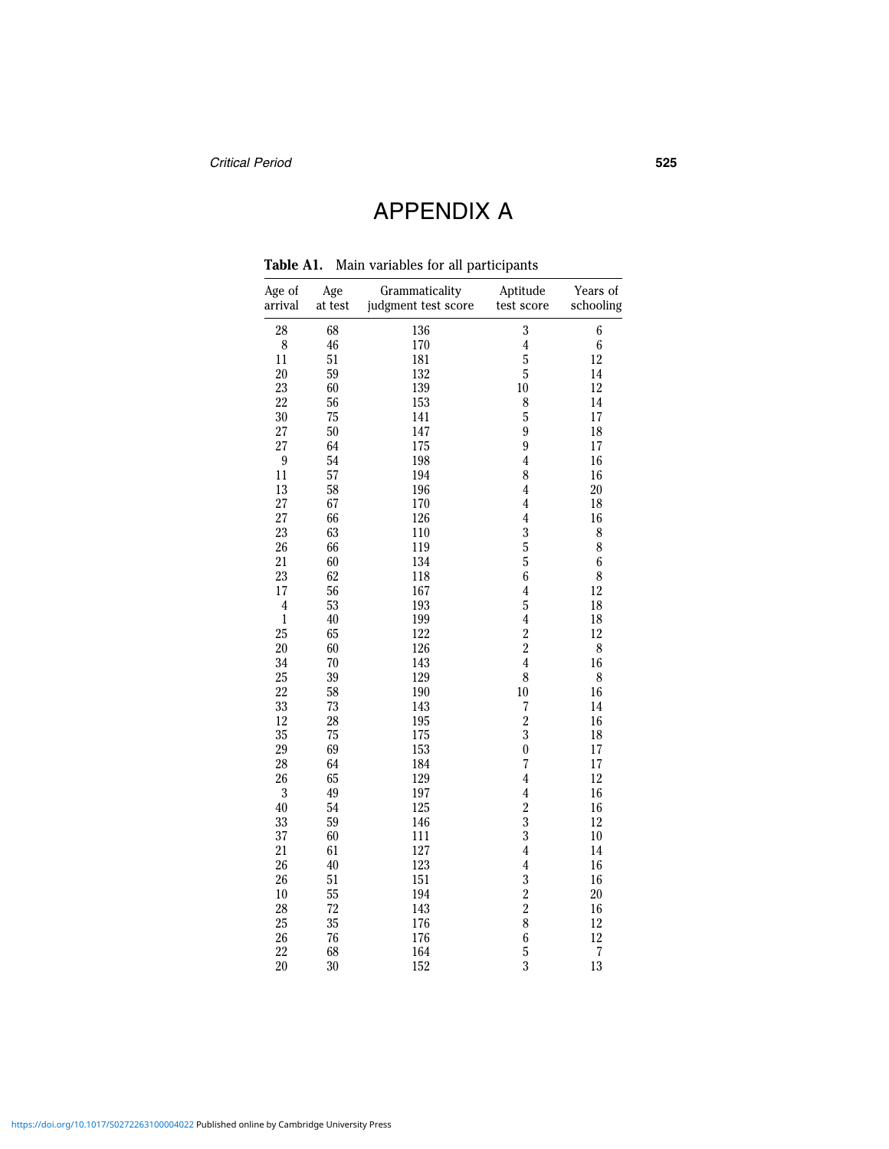# APPENDIX A

| Age of<br>arrival | Age<br>at test | Grammaticality<br>judgment test score | Aptitude<br>test score                      | Years of<br>schooling    |
|-------------------|----------------|---------------------------------------|---------------------------------------------|--------------------------|
| 28                | 68             | 136                                   | 3                                           | $\boldsymbol{6}$         |
| 8                 | 46             | 170                                   | $\overline{4}$                              | $\boldsymbol{6}$         |
| 11                | 51             | 181                                   | 5                                           | 12                       |
| 20                | 59             | 132                                   | 5                                           | 14                       |
| 23                | 60             | 139                                   | 10                                          | 12                       |
| $\overline{22}$   | 56             | 153                                   | 8                                           | 14                       |
| 30                | 75             | 141                                   | 5                                           | 17                       |
| 27                | 50             | 147                                   | 9                                           | 18                       |
| 27                | 64             | 175                                   | 9                                           | 17                       |
| $\boldsymbol{9}$  | 54             | 198                                   | $\overline{4}$                              | 16                       |
| 11                | 57             | 194                                   | 8                                           | 16                       |
| 13                | 58             | 196                                   | $\overline{4}$                              | 20                       |
| 27                | 67             | 170                                   | $\overline{4}$                              | 18                       |
| 27                | 66             | 126                                   | $\overline{4}$                              | 16                       |
| 23                | 63             | 110                                   | 3                                           | 8                        |
| 26                | 66             | 119                                   | 5                                           | 8                        |
| 21                | 60             | 134                                   | 5                                           | 6                        |
| 23                | 62             | 118                                   | $\boldsymbol{6}$                            | 8                        |
| 17                | 56             | 167                                   | $\overline{4}$                              | 12                       |
| $\overline{4}$    | 53             | 193                                   | 5                                           | 18                       |
| $\mathbf{1}$      | 40             | 199                                   | $\overline{4}$                              | 18                       |
| 25                | 65             | 122                                   | $\overline{\mathbf{2}}$                     | 12                       |
| 20                | 60             | 126                                   | $\overline{2}$                              | 8                        |
| 34                | 70             | 143                                   | $\overline{4}$                              | 16                       |
| 25                | 39             | 129                                   | 8                                           | 8                        |
| 22                | 58             | 190                                   | 10                                          | 16                       |
| 33                | 73             | 143                                   | $\overline{\mathcal{L}}$                    | 14                       |
| 12                | 28             | 195                                   | $\overline{\mathbf{c}}$                     | 16                       |
| 35                | 75             | 175                                   | 3                                           | 18                       |
| 29                | 69             | 153                                   | $\boldsymbol{0}$                            | 17                       |
| 28                | 64             | 184                                   | $\overline{\mathcal{L}}$                    | 17                       |
| 26                | 65             | 129                                   | $\overline{4}$                              | 12                       |
| 3                 | 49             | 197                                   | $\overline{4}$                              | 16                       |
| 40                | 54             | 125                                   | $\frac{2}{3}$                               | 16                       |
| 33                | 59             | 146                                   |                                             | 12                       |
| 37                | 60             | 111                                   | 3                                           | 10                       |
| 21                | 61             | 127                                   | $\overline{4}$                              | 14                       |
| 26                | 40             | 123                                   | $\overline{4}$                              | 16                       |
| 26                | 51             | 151                                   | 3                                           | 16                       |
| 10                | 55             | 194                                   |                                             | 20                       |
| 28                | 72             | 143                                   | $\begin{smallmatrix}2\2\3\end{smallmatrix}$ | 16                       |
| 25                | 35             | 176                                   |                                             | 12                       |
| 26                | 76             | 176                                   | $\boldsymbol{6}$                            | 12                       |
| 22                | 68             | 164                                   | 5                                           | $\overline{\mathcal{L}}$ |
| 20                | 30             | 152                                   | 3                                           | 13                       |

| Table A1.<br>Main variables for all participants |  |
|--------------------------------------------------|--|
|--------------------------------------------------|--|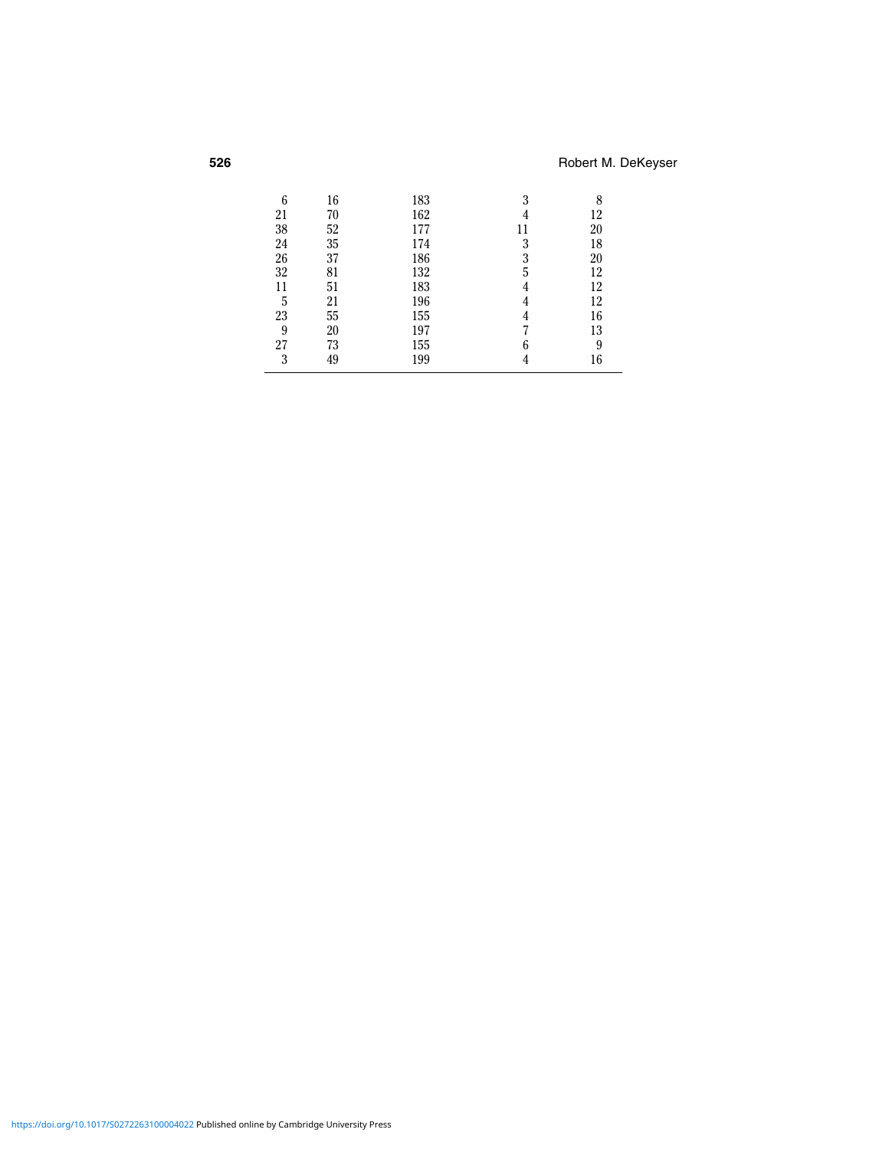| 6      | 16 | 183 | 3  | 8  |
|--------|----|-----|----|----|
| 21     | 70 | 162 | 4  | 12 |
| 38     | 52 | 177 | 11 | 20 |
| 24     | 35 | 174 | 3  | 18 |
| $26\,$ | 37 | 186 | 3  | 20 |
| 32     | 81 | 132 | 5  | 12 |
| 11     | 51 | 183 |    | 12 |
| 5      | 21 | 196 |    | 12 |
| 23     | 55 | 155 | 4  | 16 |
| 9      | 20 | 197 |    | 13 |
| 27     | 73 | 155 | 6  | 9  |
| 3      | 49 | 199 |    | 16 |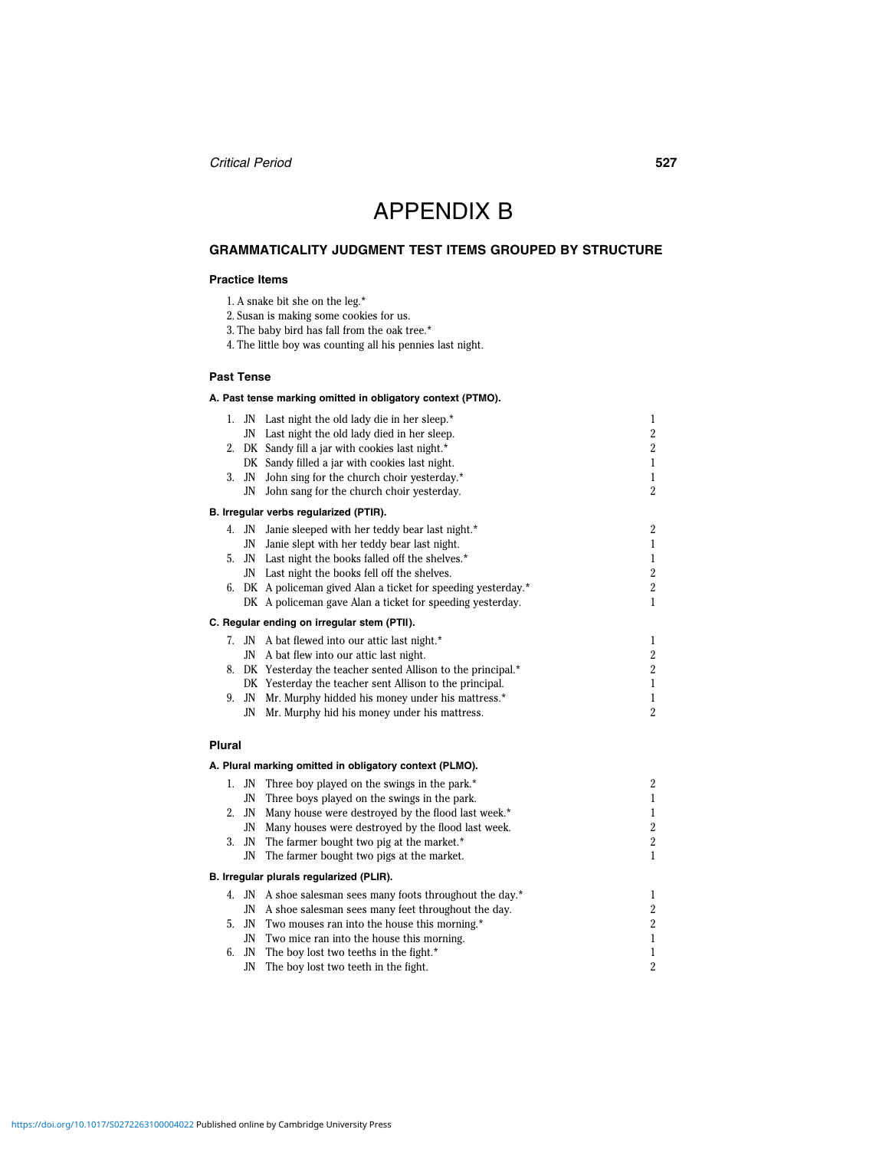# APPENDIX B

# **GRAMMATICALITY JUDGMENT TEST ITEMS GROUPED BY STRUCTURE**

## **Practice Items**

|                |                   | 1. A snake bit she on the leg.*<br>2. Susan is making some cookies for us.<br>3. The baby bird has fall from the oak tree.*                                                                                                                        |                                                 |
|----------------|-------------------|----------------------------------------------------------------------------------------------------------------------------------------------------------------------------------------------------------------------------------------------------|-------------------------------------------------|
|                |                   | 4. The little boy was counting all his pennies last night.                                                                                                                                                                                         |                                                 |
|                | <b>Past Tense</b> |                                                                                                                                                                                                                                                    |                                                 |
|                |                   | A. Past tense marking omitted in obligatory context (PTMO).                                                                                                                                                                                        |                                                 |
| 1.<br>2.<br>3. |                   | JN Last night the old lady die in her sleep.*<br>JN Last night the old lady died in her sleep.<br>DK Sandy fill a jar with cookies last night.*<br>DK Sandy filled a jar with cookies last night.<br>JN John sing for the church choir yesterday.* | 1<br>$\overline{c}$<br>$\overline{2}$<br>1<br>1 |
|                | JN                | John sang for the church choir yesterday.                                                                                                                                                                                                          | $\overline{2}$                                  |
|                |                   | B. Irregular verbs regularized (PTIR).                                                                                                                                                                                                             |                                                 |
|                |                   | 4. JN Janie sleeped with her teddy bear last night.*                                                                                                                                                                                               | $\overline{2}$                                  |
| 5.             |                   | JN Janie slept with her teddy bear last night.<br>JN Last night the books falled off the shelves.*                                                                                                                                                 | 1<br>1                                          |
|                |                   | JN Last night the books fell off the shelves.                                                                                                                                                                                                      | $\overline{c}$                                  |
|                |                   | 6. DK A policeman gived Alan a ticket for speeding yesterday.*                                                                                                                                                                                     | $\overline{2}$                                  |
|                |                   | DK A policeman gave Alan a ticket for speeding yesterday.                                                                                                                                                                                          | 1                                               |
|                |                   | C. Regular ending on irregular stem (PTII).                                                                                                                                                                                                        |                                                 |
|                |                   | 7. JN A bat flewed into our attic last night.*                                                                                                                                                                                                     | 1                                               |
|                |                   | JN A bat flew into our attic last night.                                                                                                                                                                                                           | $\overline{2}$                                  |
|                |                   | 8. DK Yesterday the teacher sented Allison to the principal.*<br>DK Yesterday the teacher sent Allison to the principal.                                                                                                                           | $\overline{2}$<br>1                             |
| 9.             |                   | JN Mr. Murphy hidded his money under his mattress.*                                                                                                                                                                                                | 1                                               |
|                | JN                | Mr. Murphy hid his money under his mattress.                                                                                                                                                                                                       | $\overline{2}$                                  |
| Plural         |                   |                                                                                                                                                                                                                                                    |                                                 |
|                |                   | A. Plural marking omitted in obligatory context (PLMO).                                                                                                                                                                                            |                                                 |
| 1.             | JN                | Three boy played on the swings in the park.*                                                                                                                                                                                                       | $\overline{2}$                                  |
|                | JN                | Three boys played on the swings in the park.                                                                                                                                                                                                       | 1                                               |
| 2.             |                   | JN Many house were destroyed by the flood last week.*                                                                                                                                                                                              | 1                                               |
| 3.             |                   | JN Many houses were destroyed by the flood last week.                                                                                                                                                                                              | $\overline{c}$                                  |
|                | JN                | JN The farmer bought two pig at the market.*<br>The farmer bought two pigs at the market.                                                                                                                                                          | $\overline{2}$<br>$\mathbf{1}$                  |
|                |                   | B. Irregular plurals regularized (PLIR).                                                                                                                                                                                                           |                                                 |
|                |                   |                                                                                                                                                                                                                                                    | 1                                               |
|                |                   | 4. JN A shoe salesman sees many foots throughout the day.*<br>JN A shoe salesman sees many feet throughout the day.                                                                                                                                | $\overline{c}$                                  |
| 5.             |                   | JN Two mouses ran into the house this morning.*                                                                                                                                                                                                    | $\overline{c}$                                  |
|                |                   | JN Two mice ran into the house this morning.                                                                                                                                                                                                       | $\mathbf{1}$                                    |
| 6.             |                   | JN The boy lost two teeths in the fight.*                                                                                                                                                                                                          | 1                                               |
|                | JN                | The boy lost two teeth in the fight.                                                                                                                                                                                                               | $\overline{2}$                                  |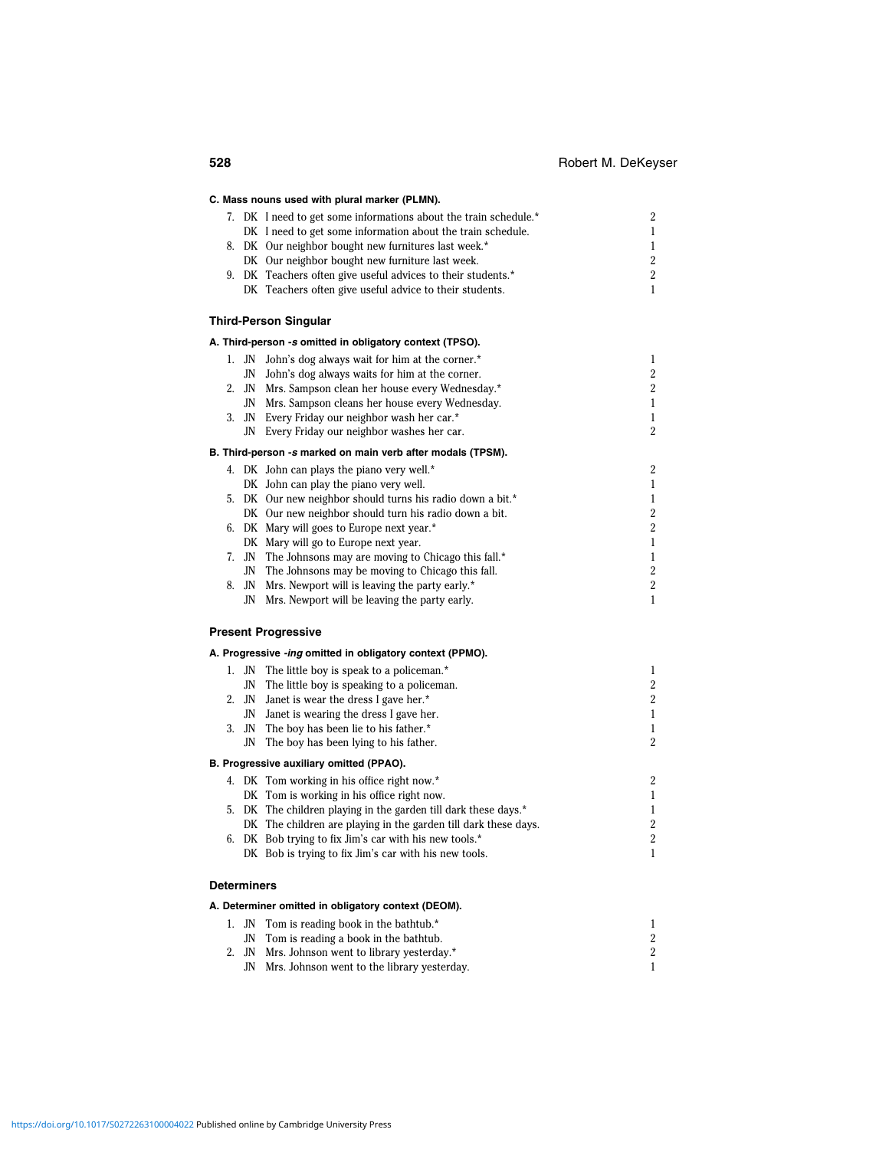# **528** Robert M. DeKeyser

|    |                    | C. Mass nouns used with plural marker (PLMN).                                                 |                                  |
|----|--------------------|-----------------------------------------------------------------------------------------------|----------------------------------|
|    |                    | 7. DK I need to get some informations about the train schedule.*                              | $\overline{2}$                   |
|    |                    | DK I need to get some information about the train schedule.                                   | $\mathbf{1}$                     |
|    |                    | 8. DK Our neighbor bought new furnitures last week.*                                          | $\mathbf{1}$                     |
|    |                    | DK Our neighbor bought new furniture last week.                                               | $\overline{2}$                   |
|    |                    | 9. DK Teachers often give useful advices to their students.*                                  | $\,2$                            |
|    |                    | DK Teachers often give useful advice to their students.                                       | 1                                |
|    |                    |                                                                                               |                                  |
|    |                    | <b>Third-Person Singular</b>                                                                  |                                  |
|    |                    | A. Third-person -s omitted in obligatory context (TPSO).                                      |                                  |
| 1. | JN                 | John's dog always wait for him at the corner.*                                                | $\mathbf{1}$                     |
|    | JN                 | John's dog always waits for him at the corner.                                                | $\boldsymbol{2}$                 |
| 2. |                    | JN Mrs. Sampson clean her house every Wednesday.*                                             | $\,2$                            |
|    |                    | JN Mrs. Sampson cleans her house every Wednesday.                                             | $\mathbf{1}$                     |
| 3. |                    | JN Every Friday our neighbor wash her car.*                                                   | $\mathbf{1}$                     |
|    |                    | JN Every Friday our neighbor washes her car.                                                  | $\overline{2}$                   |
|    |                    | B. Third-person -s marked on main verb after modals (TPSM).                                   |                                  |
|    |                    | 4. DK John can plays the piano very well.*                                                    | $\overline{2}$                   |
|    |                    | DK John can play the piano very well.                                                         | $\mathbf{1}$                     |
|    |                    | 5. DK Our new neighbor should turns his radio down a bit.*                                    | $\mathbf{1}$                     |
|    |                    | DK Our new neighbor should turn his radio down a bit.                                         | $\boldsymbol{2}$                 |
|    |                    | 6. DK Mary will goes to Europe next year.*                                                    | $\boldsymbol{2}$<br>$\mathbf{1}$ |
| 7. |                    | DK Mary will go to Europe next year.<br>JN The Johnsons may are moving to Chicago this fall.* | $\mathbf{1}$                     |
|    |                    | JN The Johnsons may be moving to Chicago this fall.                                           | $\,2$                            |
| 8. |                    | JN Mrs. Newport will is leaving the party early.*                                             | $\overline{\mathbf{2}}$          |
|    |                    | JN Mrs. Newport will be leaving the party early.                                              | $\mathbf{1}$                     |
|    |                    |                                                                                               |                                  |
|    |                    | <b>Present Progressive</b>                                                                    |                                  |
|    |                    | A. Progressive -ing omitted in obligatory context (PPMO).                                     |                                  |
|    |                    | 1. JN The little boy is speak to a policeman.*                                                | $\mathbf{1}$                     |
|    |                    | JN The little boy is speaking to a policeman.                                                 | $\boldsymbol{2}$                 |
|    | 2. JN              | Janet is wear the dress I gave her.*                                                          | $\boldsymbol{2}$                 |
|    | JN                 | Janet is wearing the dress I gave her.                                                        | $\mathbf{1}$                     |
| 3. |                    | JN The boy has been lie to his father.*                                                       | $\mathbf{1}$                     |
|    | JN                 | The boy has been lying to his father.                                                         | $\overline{2}$                   |
|    |                    | B. Progressive auxiliary omitted (PPAO).                                                      |                                  |
|    |                    | 4. DK Tom working in his office right now.*                                                   | 2                                |
|    |                    | DK Tom is working in his office right now.                                                    | $\mathbf{1}$                     |
|    |                    | 5. DK The children playing in the garden till dark these days.*                               | 1                                |
|    |                    | DK The children are playing in the garden till dark these days.                               | $\overline{2}$                   |
|    |                    | 6. DK Bob trying to fix Jim's car with his new tools.*                                        | $\overline{\mathbf{2}}$          |
|    |                    | DK Bob is trying to fix Jim's car with his new tools.                                         | 1                                |
|    | <b>Determiners</b> |                                                                                               |                                  |
|    |                    | A. Determiner omitted in obligatory context (DEOM).                                           |                                  |
| 1. | JN                 | Tom is reading book in the bathtub.*                                                          | 1                                |
|    | JN                 | Tom is reading a book in the bathtub.                                                         | $\overline{2}$                   |
| 2. | JN                 | Mrs. Johnson went to library yesterday.*                                                      | $\overline{2}$                   |
|    | JN                 | Mrs. Johnson went to the library yesterday.                                                   | 1                                |

JN Mrs. Johnson went to the library yesterday.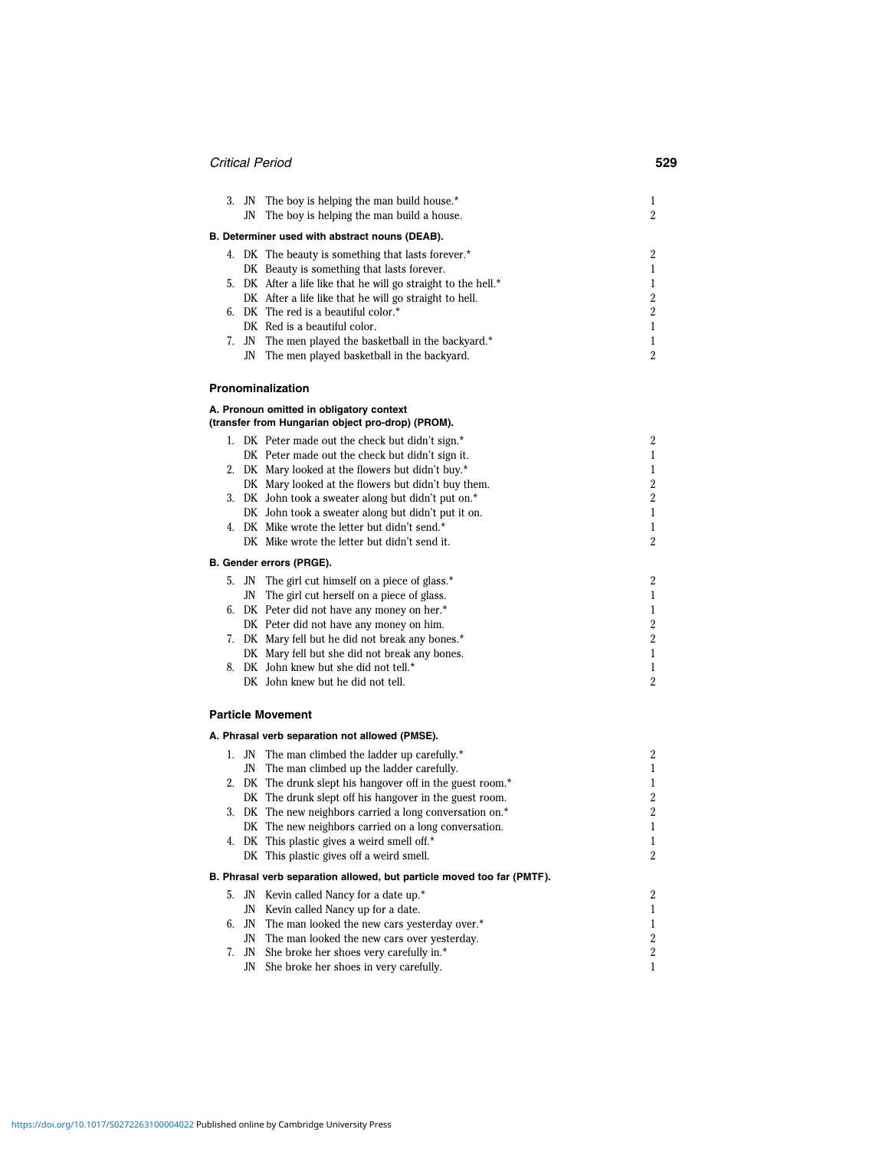|    | JN    | 3. JN The boy is helping the man build house.*<br>The boy is helping the man build a house.      | 1<br>$\overline{2}$ |
|----|-------|--------------------------------------------------------------------------------------------------|---------------------|
|    |       | B. Determiner used with abstract nouns (DEAB).                                                   |                     |
|    |       | 4. DK The beauty is something that lasts forever.*                                               | 2                   |
|    |       | DK Beauty is something that lasts forever.                                                       | 1                   |
| 5. |       | DK After a life like that he will go straight to the hell.*                                      | $\mathbf{1}$        |
|    |       | DK After a life like that he will go straight to hell.                                           | $\overline{2}$      |
|    |       | 6. DK The red is a beautiful color.*                                                             | 2                   |
|    |       | DK Red is a beautiful color.                                                                     | $\mathbf{1}$        |
| 7. | JN    | JN The men played the basketball in the backyard.*<br>The men played basketball in the backyard. | 1<br>2              |
|    |       | Pronominalization                                                                                |                     |
|    |       | A. Pronoun omitted in obligatory context<br>(transfer from Hungarian object pro-drop) (PROM).    |                     |
|    |       | 1. DK Peter made out the check but didn't sign.*                                                 | $\overline{2}$      |
|    |       | DK Peter made out the check but didn't sign it.                                                  | 1                   |
|    |       | 2. DK Mary looked at the flowers but didn't buy.*                                                | 1                   |
|    |       | DK Mary looked at the flowers but didn't buy them.                                               | $\overline{2}$      |
|    |       | 3. DK John took a sweater along but didn't put on.*                                              | $\overline{2}$      |
|    |       | DK John took a sweater along but didn't put it on.                                               | 1                   |
| 4. |       | DK Mike wrote the letter but didn't send.*<br>DK Mike wrote the letter but didn't send it.       | 1<br>2              |
|    |       | B. Gender errors (PRGE).                                                                         |                     |
|    |       | 5. JN The girl cut himself on a piece of glass.*                                                 | 2                   |
|    |       | JN The girl cut herself on a piece of glass.                                                     | 1                   |
| 6. |       | DK Peter did not have any money on her.*                                                         | 1                   |
|    |       | DK Peter did not have any money on him.                                                          | $\overline{2}$      |
|    |       | 7. DK Mary fell but he did not break any bones.*                                                 | $\overline{2}$      |
|    |       | DK Mary fell but she did not break any bones.                                                    | $\mathbf{1}$        |
| 8. |       | DK John knew but she did not tell.*                                                              | 1                   |
|    |       | DK John knew but he did not tell.                                                                | 2                   |
|    |       | <b>Particle Movement</b>                                                                         |                     |
|    |       | A. Phrasal verb separation not allowed (PMSE).                                                   |                     |
| 1. |       | JN The man climbed the ladder up carefully.*                                                     | 2                   |
|    |       | JN The man climbed up the ladder carefully.                                                      | 1                   |
|    |       | 2. DK The drunk slept his hangover off in the guest room.*                                       | 1                   |
|    |       | DK The drunk slept off his hangover in the guest room.                                           | $\overline{2}$      |
|    |       | 3. DK The new neighbors carried a long conversation on.*                                         | $\overline{2}$      |
|    |       | DK The new neighbors carried on a long conversation.                                             | 1                   |
|    |       | 4. DK This plastic gives a weird smell off.*<br>DK This plastic gives off a weird smell.         | 1<br>2              |
|    |       | B. Phrasal verb separation allowed, but particle moved too far (PMTF).                           |                     |
|    |       | 5. JN Kevin called Nancy for a date up.*                                                         | 2                   |
|    | JN    | Kevin called Nancy up for a date.                                                                | 1                   |
|    | 6. JN | The man looked the new cars yesterday over.*                                                     | 1                   |
|    | JN    | The man looked the new cars over yesterday.                                                      | 2                   |
| 7. | JN    | She broke her shoes very carefully in.*                                                          | 2                   |
|    | JN    | She broke her shoes in very carefully.                                                           | 1                   |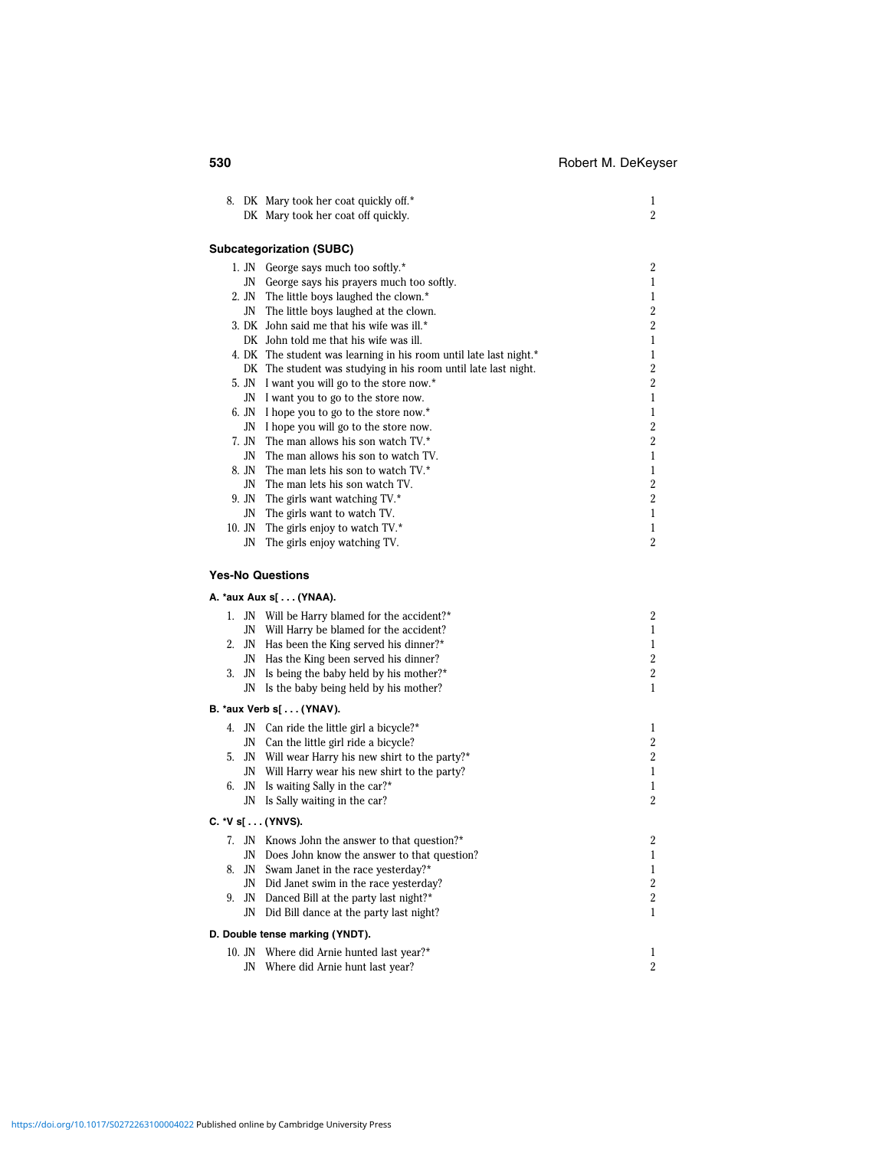|          |                            | 8. DK Mary took her coat quickly off.*<br>DK Mary took her coat off quickly.                                                                                                                                                                                                                                                                                                                                                                                                                                                                                                                                                           | 1<br>2                                                                                |
|----------|----------------------------|----------------------------------------------------------------------------------------------------------------------------------------------------------------------------------------------------------------------------------------------------------------------------------------------------------------------------------------------------------------------------------------------------------------------------------------------------------------------------------------------------------------------------------------------------------------------------------------------------------------------------------------|---------------------------------------------------------------------------------------|
|          |                            | <b>Subcategorization (SUBC)</b>                                                                                                                                                                                                                                                                                                                                                                                                                                                                                                                                                                                                        |                                                                                       |
|          |                            | 1. JN George says much too softly.*<br>JN George says his prayers much too softly.<br>2. JN The little boys laughed the clown.*<br>JN The little boys laughed at the clown.<br>3. DK John said me that his wife was ill.*<br>DK John told me that his wife was ill.<br>4. DK The student was learning in his room until late last night.*<br>DK The student was studying in his room until late last night.<br>5. JN I want you will go to the store now.*<br>JN I want you to go to the store now.<br>6. JN I hope you to go to the store now.*<br>JN I hope you will go to the store now.<br>7. JN The man allows his son watch TV.* | 2<br>1<br>1<br>2<br>2<br>1<br>1<br>2<br>$\overline{2}$<br>$\mathbf{1}$<br>1<br>2<br>2 |
|          |                            | JN The man allows his son to watch TV.                                                                                                                                                                                                                                                                                                                                                                                                                                                                                                                                                                                                 | 1                                                                                     |
|          |                            | 8. JN The man lets his son to watch TV.*<br>JN The man lets his son watch TV.<br>9. JN The girls want watching TV.*<br>JN The girls want to watch TV.<br>10. JN The girls enjoy to watch TV.*<br>JN The girls enjoy watching TV.                                                                                                                                                                                                                                                                                                                                                                                                       | 1<br>2<br>$\overline{2}$<br>1<br>1<br>$\overline{2}$                                  |
|          |                            | <b>Yes-No Questions</b>                                                                                                                                                                                                                                                                                                                                                                                                                                                                                                                                                                                                                |                                                                                       |
|          |                            | A. *aux Aux s[ (YNAA).                                                                                                                                                                                                                                                                                                                                                                                                                                                                                                                                                                                                                 |                                                                                       |
| 3.       |                            | 1. JN Will be Harry blamed for the accident?*<br>JN Will Harry be blamed for the accident?<br>2. JN Has been the King served his dinner?*<br>JN Has the King been served his dinner?<br>JN Is being the baby held by his mother?*<br>JN Is the baby being held by his mother?                                                                                                                                                                                                                                                                                                                                                          | 2<br>1<br>1<br>2<br>2<br>1                                                            |
|          |                            | B. *aux Verb s[(YNAV).                                                                                                                                                                                                                                                                                                                                                                                                                                                                                                                                                                                                                 |                                                                                       |
| 5.<br>6. |                            | 4. JN Can ride the little girl a bicycle?*<br>JN Can the little girl ride a bicycle?<br>JN Will wear Harry his new shirt to the party?*<br>JN Will Harry wear his new shirt to the party?<br>JN Is waiting Sally in the car?*<br>JN Is Sally waiting in the car?                                                                                                                                                                                                                                                                                                                                                                       | 1<br>2<br>$\overline{2}$<br>1<br>1<br>2                                               |
|          |                            | $C.$ *V s[ $$ (YNVS).                                                                                                                                                                                                                                                                                                                                                                                                                                                                                                                                                                                                                  |                                                                                       |
| 8.<br>9. | JN<br>JN<br>JN<br>JN<br>JN | 7. JN Knows John the answer to that question?*<br>Does John know the answer to that question?<br>Swam Janet in the race yesterday?*<br>Did Janet swim in the race yesterday?<br>Danced Bill at the party last night?*<br>Did Bill dance at the party last night?                                                                                                                                                                                                                                                                                                                                                                       | $\overline{\mathbf{2}}$<br>1<br>1<br>2<br>2<br>1                                      |
|          |                            | D. Double tense marking (YNDT).                                                                                                                                                                                                                                                                                                                                                                                                                                                                                                                                                                                                        |                                                                                       |
| 10. JN   | JN                         | Where did Arnie hunted last year?*<br>Where did Arnie hunt last year?                                                                                                                                                                                                                                                                                                                                                                                                                                                                                                                                                                  | 1<br>2                                                                                |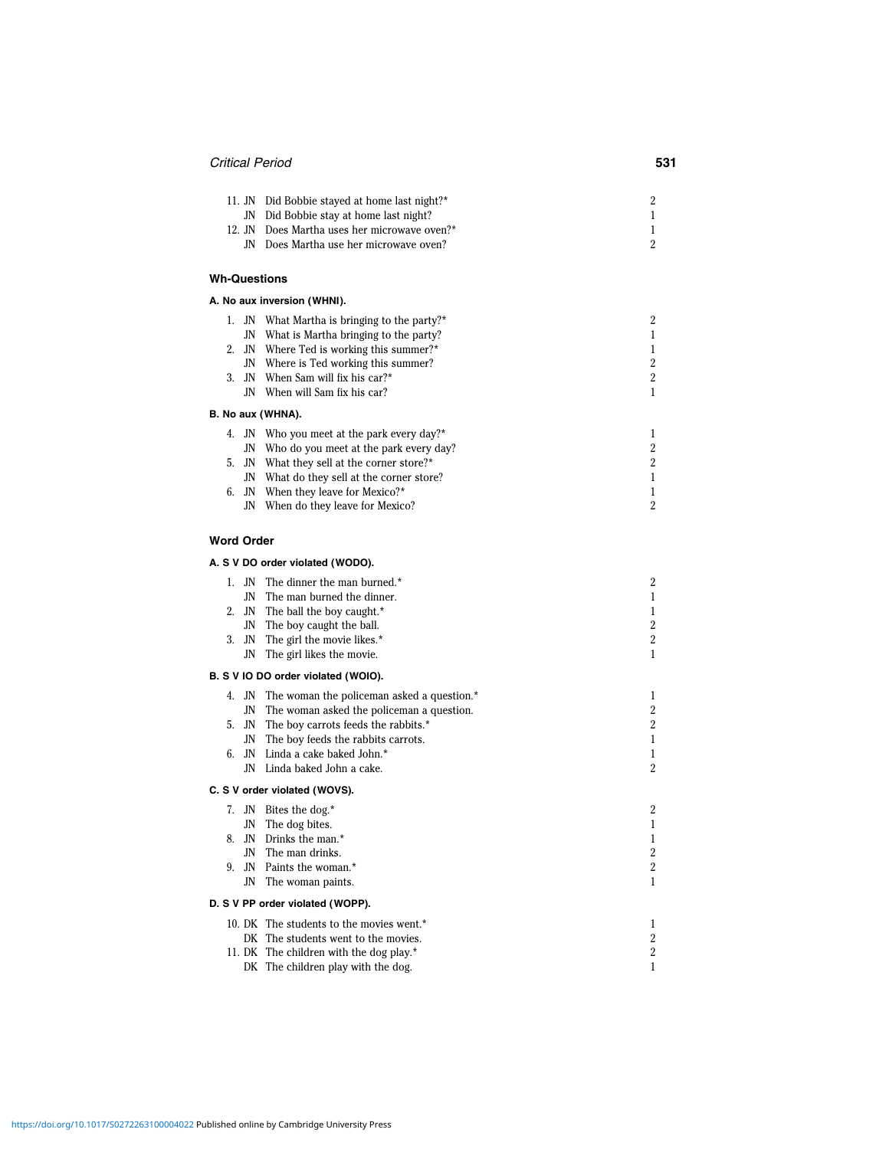|                |                   | 11. JN Did Bobbie stayed at home last night?*<br>JN Did Bobbie stay at home last night?<br>12. JN Does Martha uses her microwave oven?*<br>JN Does Martha use her microwave oven?                                                                  | 2<br>1<br>1<br>2                        |
|----------------|-------------------|----------------------------------------------------------------------------------------------------------------------------------------------------------------------------------------------------------------------------------------------------|-----------------------------------------|
|                |                   | <b>Wh-Questions</b>                                                                                                                                                                                                                                |                                         |
|                |                   | A. No aux inversion (WHNI).                                                                                                                                                                                                                        |                                         |
| 1.<br>2.<br>3. |                   | JN What Martha is bringing to the party?*<br>JN What is Martha bringing to the party?<br>JN Where Ted is working this summer?*<br>JN Where is Ted working this summer?<br>JN When Sam will fix his car?*<br>JN When will Sam fix his car?          | 2<br>1<br>1<br>2<br>$\overline{2}$<br>1 |
|                |                   | B. No aux (WHNA).                                                                                                                                                                                                                                  |                                         |
| 5.             |                   | 4. JN Who you meet at the park every day?*<br>JN Who do you meet at the park every day?<br>JN What they sell at the corner store?*<br>JN What do they sell at the corner store?                                                                    | 1<br>2<br>$\overline{2}$<br>1           |
| 6.             |                   | JN When they leave for Mexico?*<br>JN When do they leave for Mexico?                                                                                                                                                                               | 1<br>$\overline{2}$                     |
|                | <b>Word Order</b> |                                                                                                                                                                                                                                                    |                                         |
|                |                   | A. S V DO order violated (WODO).                                                                                                                                                                                                                   |                                         |
| 1.<br>2.<br>3. | JN                | JN The dinner the man burned.*<br>JN The man burned the dinner.<br>JN The ball the boy caught.*<br>JN The boy caught the ball.<br>JN The girl the movie likes.*<br>The girl likes the movie.                                                       | 2<br>1<br>1<br>2<br>$\overline{2}$<br>1 |
|                |                   | B. S V IO DO order violated (WOIO).                                                                                                                                                                                                                |                                         |
| 5.<br>6.       |                   | 4. JN The woman the policeman asked a question.*<br>JN The woman asked the policeman a question.<br>JN The boy carrots feeds the rabbits.*<br>JN The boy feeds the rabbits carrots.<br>JN Linda a cake baked John.*<br>JN Linda baked John a cake. | 1<br>2<br>2<br>1<br>1<br>2              |
|                |                   | C. S V order violated (WOVS).                                                                                                                                                                                                                      |                                         |
| 9.             | JN<br>JN<br>JN    | 7. JN Bites the dog.*<br>JN The dog bites.<br>8. JN Drinks the man.*<br>The man drinks.<br>Paints the woman.*<br>The woman paints.                                                                                                                 | 2<br>1<br>1<br>2<br>2<br>1              |
|                |                   | D. S V PP order violated (WOPP).                                                                                                                                                                                                                   |                                         |
|                |                   | 10. DK The students to the movies went.*<br>DK The students went to the movies.<br>11. DK The children with the dog play.*<br>DK The children play with the dog.                                                                                   | 1<br>2<br>2<br>1                        |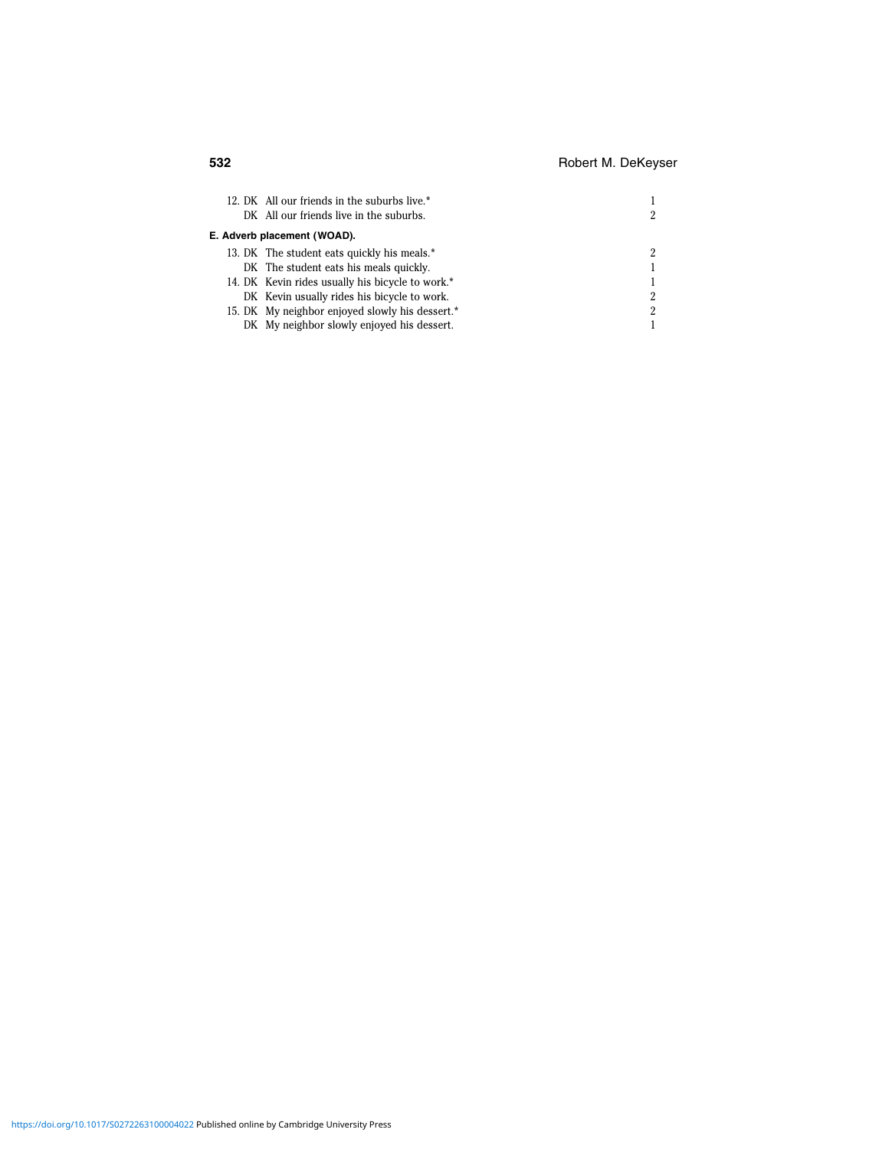# **532** Robert M. DeKeyser

|  | 12. DK All our friends in the suburbs live.*<br>DK All our friends live in the suburbs. |  |
|--|-----------------------------------------------------------------------------------------|--|
|  | E. Adverb placement (WOAD).                                                             |  |
|  | 13. DK The student eats quickly his meals.*                                             |  |
|  | DK The student eats his meals quickly.                                                  |  |
|  | 14. DK Kevin rides usually his bicycle to work.*                                        |  |
|  | DK Kevin usually rides his bicycle to work.                                             |  |
|  | 15. DK My neighbor enjoyed slowly his dessert.*                                         |  |
|  | DK My neighbor slowly enjoyed his dessert.                                              |  |